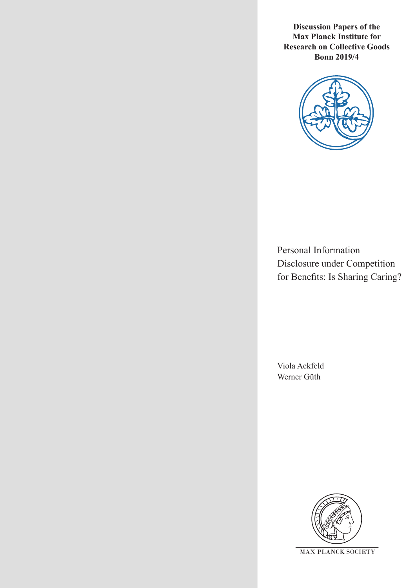**Discussion Papers of the Max Planck Institute for Research on Collective Goods Bonn 2019/4**



Personal Information Disclosure under Competition for Benefits: Is Sharing Caring?

Viola Ackfeld Werner Güth

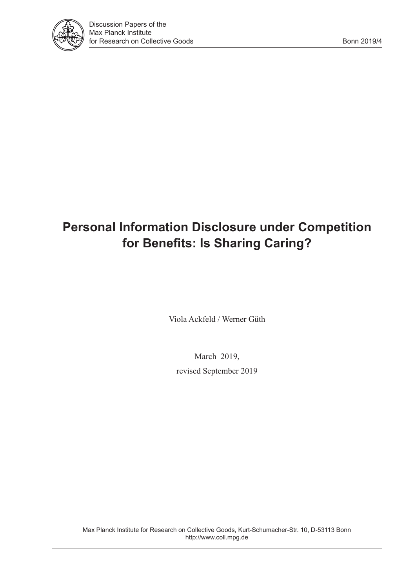

# **Personal Information Disclosure under Competition for Benefits: Is Sharing Caring?**

Viola Ackfeld / Werner Güth

March 2019, revised September 2019

Max Planck Institute for Research on Collective Goods, Kurt-Schumacher-Str. 10, D-53113 Bonn http://www.coll.mpg.de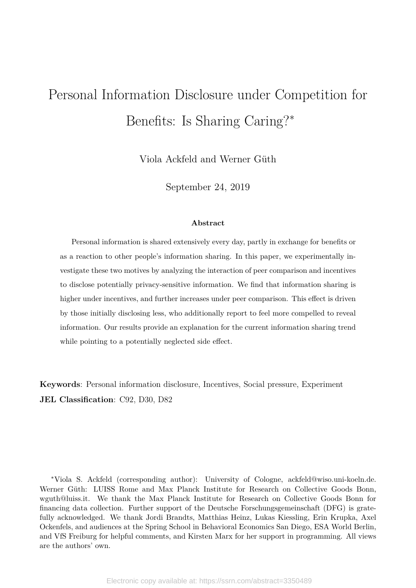# Personal Information Disclosure under Competition for Benefits: Is Sharing Caring?<sup>∗</sup>

Viola Ackfeld and Werner Güth

September 24, 2019

#### **Abstract**

Personal information is shared extensively every day, partly in exchange for benefits or as a reaction to other people's information sharing. In this paper, we experimentally investigate these two motives by analyzing the interaction of peer comparison and incentives to disclose potentially privacy-sensitive information. We find that information sharing is higher under incentives, and further increases under peer comparison. This effect is driven by those initially disclosing less, who additionally report to feel more compelled to reveal information. Our results provide an explanation for the current information sharing trend while pointing to a potentially neglected side effect.

**Keywords**: Personal information disclosure, Incentives, Social pressure, Experiment **JEL Classification**: C92, D30, D82

<sup>∗</sup>Viola S. Ackfeld (corresponding author): University of Cologne, ackfeld@wiso.uni-koeln.de. Werner Güth: LUISS Rome and Max Planck Institute for Research on Collective Goods Bonn, wguth@luiss.it. We thank the Max Planck Institute for Research on Collective Goods Bonn for financing data collection. Further support of the Deutsche Forschungsgemeinschaft (DFG) is gratefully acknowledged. We thank Jordi Brandts, Matthias Heinz, Lukas Kiessling, Erin Krupka, Axel Ockenfels, and audiences at the Spring School in Behavioral Economics San Diego, ESA World Berlin, and VfS Freiburg for helpful comments, and Kirsten Marx for her support in programming. All views are the authors' own.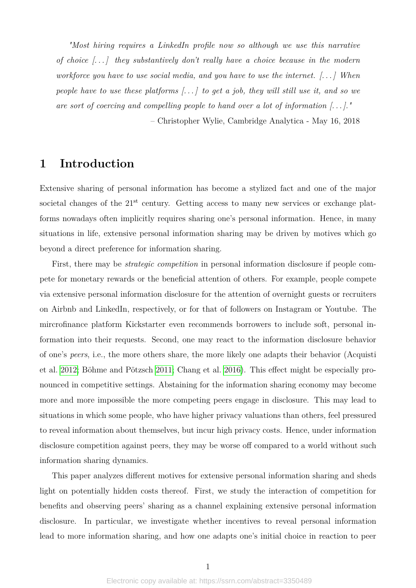*"Most hiring requires a LinkedIn profile now so although we use this narrative of choice [. . . ] they substantively don't really have a choice because in the modern workforce you have to use social media, and you have to use the internet. [. . . ] When people have to use these platforms [. . . ] to get a job, they will still use it, and so we are sort of coercing and compelling people to hand over a lot of information [. . . ]."*

– Christopher Wylie, Cambridge Analytica - May 16, 2018

# **1 Introduction**

Extensive sharing of personal information has become a stylized fact and one of the major societal changes of the  $21<sup>st</sup>$  century. Getting access to many new services or exchange platforms nowadays often implicitly requires sharing one's personal information. Hence, in many situations in life, extensive personal information sharing may be driven by motives which go beyond a direct preference for information sharing.

First, there may be *strategic competition* in personal information disclosure if people compete for monetary rewards or the beneficial attention of others. For example, people compete via extensive personal information disclosure for the attention of overnight guests or recruiters on Airbnb and LinkedIn, respectively, or for that of followers on Instagram or Youtube. The mircrofinance platform Kickstarter even recommends borrowers to include soft, personal information into their requests. Second, one may react to the information disclosure behavior of one's *peers*, i.e., the more others share, the more likely one adapts their behavior (Acquisti et al. [2012;](#page-35-0) Böhme and Pötzsch [2011;](#page-36-0) Chang et al. [2016\)](#page-36-1). This effect might be especially pronounced in competitive settings. Abstaining for the information sharing economy may become more and more impossible the more competing peers engage in disclosure. This may lead to situations in which some people, who have higher privacy valuations than others, feel pressured to reveal information about themselves, but incur high privacy costs. Hence, under information disclosure competition against peers, they may be worse off compared to a world without such information sharing dynamics.

This paper analyzes different motives for extensive personal information sharing and sheds light on potentially hidden costs thereof. First, we study the interaction of competition for benefits and observing peers' sharing as a channel explaining extensive personal information disclosure. In particular, we investigate whether incentives to reveal personal information lead to more information sharing, and how one adapts one's initial choice in reaction to peer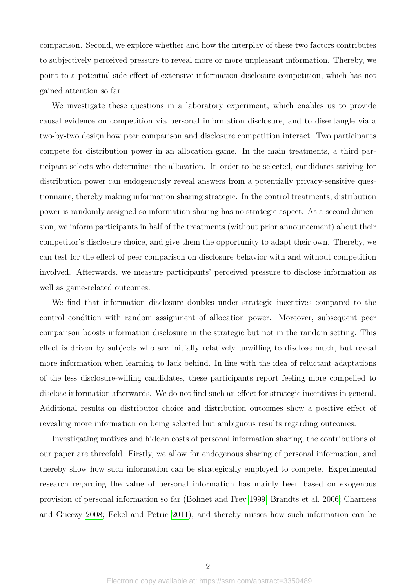comparison. Second, we explore whether and how the interplay of these two factors contributes to subjectively perceived pressure to reveal more or more unpleasant information. Thereby, we point to a potential side effect of extensive information disclosure competition, which has not gained attention so far.

We investigate these questions in a laboratory experiment, which enables us to provide causal evidence on competition via personal information disclosure, and to disentangle via a two-by-two design how peer comparison and disclosure competition interact. Two participants compete for distribution power in an allocation game. In the main treatments, a third participant selects who determines the allocation. In order to be selected, candidates striving for distribution power can endogenously reveal answers from a potentially privacy-sensitive questionnaire, thereby making information sharing strategic. In the control treatments, distribution power is randomly assigned so information sharing has no strategic aspect. As a second dimension, we inform participants in half of the treatments (without prior announcement) about their competitor's disclosure choice, and give them the opportunity to adapt their own. Thereby, we can test for the effect of peer comparison on disclosure behavior with and without competition involved. Afterwards, we measure participants' perceived pressure to disclose information as well as game-related outcomes.

We find that information disclosure doubles under strategic incentives compared to the control condition with random assignment of allocation power. Moreover, subsequent peer comparison boosts information disclosure in the strategic but not in the random setting. This effect is driven by subjects who are initially relatively unwilling to disclose much, but reveal more information when learning to lack behind. In line with the idea of reluctant adaptations of the less disclosure-willing candidates, these participants report feeling more compelled to disclose information afterwards. We do not find such an effect for strategic incentives in general. Additional results on distributor choice and distribution outcomes show a positive effect of revealing more information on being selected but ambiguous results regarding outcomes.

Investigating motives and hidden costs of personal information sharing, the contributions of our paper are threefold. Firstly, we allow for endogenous sharing of personal information, and thereby show how such information can be strategically employed to compete. Experimental research regarding the value of personal information has mainly been based on exogenous provision of personal information so far (Bohnet and Frey [1999;](#page-36-2) Brandts et al. [2006;](#page-36-3) Charness and Gneezy [2008;](#page-36-4) Eckel and Petrie [2011\)](#page-37-0), and thereby misses how such information can be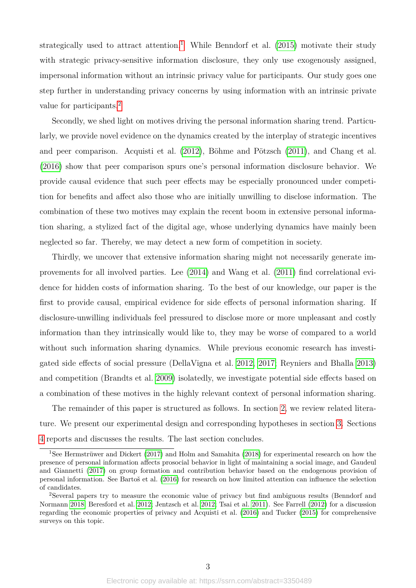strategically used to attract attention.<sup>[1](#page-5-0)</sup> While Benndorf et al.  $(2015)$  motivate their study with strategic privacy-sensitive information disclosure, they only use exogenously assigned, impersonal information without an intrinsic privacy value for participants. Our study goes one step further in understanding privacy concerns by using information with an intrinsic private value for participants.[2](#page-5-1)

Secondly, we shed light on motives driving the personal information sharing trend. Particularly, we provide novel evidence on the dynamics created by the interplay of strategic incentives and peer comparison. Acquisti et al. [\(2012\)](#page-35-0), Böhme and Pötzsch [\(2011\)](#page-36-0), and Chang et al. [\(2016\)](#page-36-1) show that peer comparison spurs one's personal information disclosure behavior. We provide causal evidence that such peer effects may be especially pronounced under competition for benefits and affect also those who are initially unwilling to disclose information. The combination of these two motives may explain the recent boom in extensive personal information sharing, a stylized fact of the digital age, whose underlying dynamics have mainly been neglected so far. Thereby, we may detect a new form of competition in society.

Thirdly, we uncover that extensive information sharing might not necessarily generate improvements for all involved parties. Lee [\(2014\)](#page-38-0) and Wang et al. [\(2011\)](#page-40-0) find correlational evidence for hidden costs of information sharing. To the best of our knowledge, our paper is the first to provide causal, empirical evidence for side effects of personal information sharing. If disclosure-unwilling individuals feel pressured to disclose more or more unpleasant and costly information than they intrinsically would like to, they may be worse of compared to a world without such information sharing dynamics. While previous economic research has investigated side effects of social pressure (DellaVigna et al. [2012,](#page-37-1) [2017;](#page-37-2) Reyniers and Bhalla [2013\)](#page-39-0) and competition (Brandts et al. [2009\)](#page-36-5) isolatedly, we investigate potential side effects based on a combination of these motives in the highly relevant context of personal information sharing.

The remainder of this paper is structured as follows. In section [2,](#page-6-0) we review related literature. We present our experimental design and corresponding hypotheses in section [3.](#page-8-0) Sections [4](#page-16-0) reports and discusses the results. The last section concludes.

<span id="page-5-0"></span><sup>1</sup>See Hermstrüwer and Dickert [\(2017\)](#page-38-1) and Holm and Samahita [\(2018\)](#page-38-2) for experimental research on how the presence of personal information affects prosocial behavior in light of maintaining a social image, and Gaudeul and Giannetti [\(2017\)](#page-38-3) on group formation and contribution behavior based on the endogenous provision of personal information. See Bartoš et al. [\(2016\)](#page-35-2) for research on how limited attention can influence the selection of candidates.

<span id="page-5-1"></span><sup>2</sup>Several papers try to measure the economic value of privacy but find ambiguous results (Benndorf and Normann [2018;](#page-35-3) Beresford et al. [2012;](#page-35-4) Jentzsch et al. [2012;](#page-38-4) Tsai et al. [2011\)](#page-39-1). See Farrell [\(2012\)](#page-37-3) for a discussion regarding the economic properties of privacy and Acquisti et al. [\(2016\)](#page-35-5) and Tucker [\(2015\)](#page-40-1) for comprehensive surveys on this topic.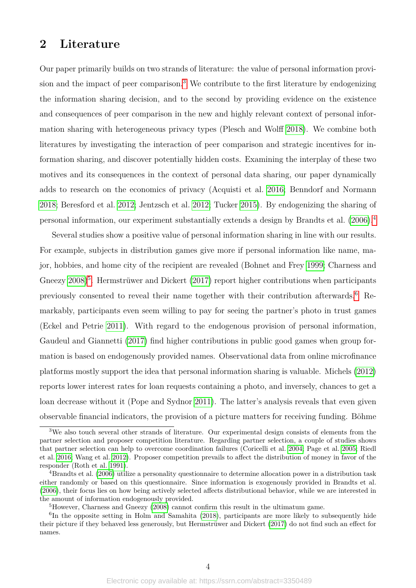# <span id="page-6-0"></span>**2 Literature**

Our paper primarily builds on two strands of literature: the value of personal information provi-sion and the impact of peer comparison.<sup>[3](#page-6-1)</sup> We contribute to the first literature by endogenizing the information sharing decision, and to the second by providing evidence on the existence and consequences of peer comparison in the new and highly relevant context of personal information sharing with heterogeneous privacy types (Plesch and Wolff [2018\)](#page-39-2). We combine both literatures by investigating the interaction of peer comparison and strategic incentives for information sharing, and discover potentially hidden costs. Examining the interplay of these two motives and its consequences in the context of personal data sharing, our paper dynamically adds to research on the economics of privacy (Acquisti et al. [2016;](#page-35-5) Benndorf and Normann [2018;](#page-35-3) Beresford et al. [2012;](#page-35-4) Jentzsch et al. [2012;](#page-38-4) Tucker [2015\)](#page-40-1). By endogenizing the sharing of personal information, our experiment substantially extends a design by Brandts et al. [\(2006\)](#page-36-3).[4](#page-6-2)

Several studies show a positive value of personal information sharing in line with our results. For example, subjects in distribution games give more if personal information like name, major, hobbies, and home city of the recipient are revealed (Bohnet and Frey [1999;](#page-36-2) Charness and Gneezy [2008\)](#page-36-4)<sup>[5](#page-6-3)</sup>. Hermstrüwer and Dickert [\(2017\)](#page-38-1) report higher contributions when participants previously consented to reveal their name together with their contribution afterwards.[6](#page-6-4) Remarkably, participants even seem willing to pay for seeing the partner's photo in trust games (Eckel and Petrie [2011\)](#page-37-0). With regard to the endogenous provision of personal information, Gaudeul and Giannetti [\(2017\)](#page-38-3) find higher contributions in public good games when group formation is based on endogenously provided names. Observational data from online microfinance platforms mostly support the idea that personal information sharing is valuable. Michels [\(2012\)](#page-39-3) reports lower interest rates for loan requests containing a photo, and inversely, chances to get a loan decrease without it (Pope and Sydnor [2011\)](#page-39-4). The latter's analysis reveals that even given observable financial indicators, the provision of a picture matters for receiving funding. Böhme

<span id="page-6-1"></span><sup>3</sup>We also touch several other strands of literature. Our experimental design consists of elements from the partner selection and proposer competition literature. Regarding partner selection, a couple of studies shows that partner selection can help to overcome coordination failures (Coricelli et al. [2004;](#page-37-4) Page et al. [2005;](#page-39-5) Riedl et al. [2016;](#page-39-6) Wang et al. [2012\)](#page-40-2). Proposer competition prevails to affect the distribution of money in favor of the responder (Roth et al. [1991\)](#page-39-7).

<span id="page-6-2"></span><sup>4</sup>Brandts et al. [\(2006\)](#page-36-3) utilize a personality questionnaire to determine allocation power in a distribution task either randomly or based on this questionnaire. Since information is exogenously provided in Brandts et al. [\(2006\)](#page-36-3), their focus lies on how being actively selected affects distributional behavior, while we are interested in the amount of information endogenously provided.

<span id="page-6-4"></span><span id="page-6-3"></span><sup>5</sup>However, Charness and Gneezy [\(2008\)](#page-36-4) cannot confirm this result in the ultimatum game.

<sup>&</sup>lt;sup>6</sup>In the opposite setting in Holm and Samahita [\(2018\)](#page-38-2), participants are more likely to subsequently hide their picture if they behaved less generously, but Hermstrüwer and Dickert [\(2017\)](#page-38-1) do not find such an effect for names.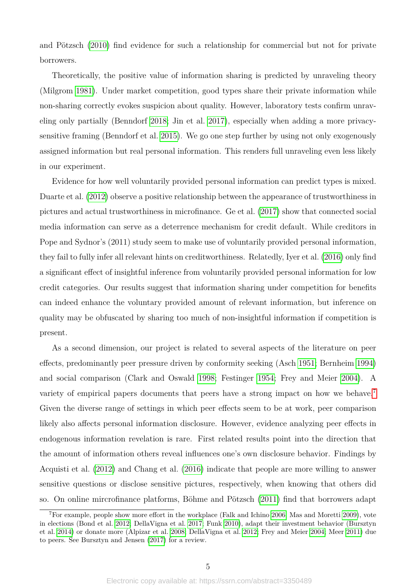and Pötzsch [\(2010\)](#page-36-6) find evidence for such a relationship for commercial but not for private borrowers.

Theoretically, the positive value of information sharing is predicted by unraveling theory (Milgrom [1981\)](#page-39-8). Under market competition, good types share their private information while non-sharing correctly evokes suspicion about quality. However, laboratory tests confirm unraveling only partially (Benndorf [2018;](#page-35-6) Jin et al. [2017\)](#page-38-5), especially when adding a more privacysensitive framing (Benndorf et al. [2015\)](#page-35-1). We go one step further by using not only exogenously assigned information but real personal information. This renders full unraveling even less likely in our experiment.

Evidence for how well voluntarily provided personal information can predict types is mixed. Duarte et al. [\(2012\)](#page-37-5) observe a positive relationship between the appearance of trustworthiness in pictures and actual trustworthiness in microfinance. Ge et al. [\(2017\)](#page-38-6) show that connected social media information can serve as a deterrence mechanism for credit default. While creditors in Pope and Sydnor's (2011) study seem to make use of voluntarily provided personal information, they fail to fully infer all relevant hints on creditworthiness. Relatedly, Iyer et al. [\(2016\)](#page-38-7) only find a significant effect of insightful inference from voluntarily provided personal information for low credit categories. Our results suggest that information sharing under competition for benefits can indeed enhance the voluntary provided amount of relevant information, but inference on quality may be obfuscated by sharing too much of non-insightful information if competition is present.

As a second dimension, our project is related to several aspects of the literature on peer effects, predominantly peer pressure driven by conformity seeking (Asch [1951;](#page-35-7) Bernheim [1994\)](#page-35-8) and social comparison (Clark and Oswald [1998;](#page-37-6) Festinger [1954;](#page-37-7) Frey and Meier [2004\)](#page-37-8). A variety of empirical papers documents that peers have a strong impact on how we behave.[7](#page-7-0) Given the diverse range of settings in which peer effects seem to be at work, peer comparison likely also affects personal information disclosure. However, evidence analyzing peer effects in endogenous information revelation is rare. First related results point into the direction that the amount of information others reveal influences one's own disclosure behavior. Findings by Acquisti et al. [\(2012\)](#page-35-0) and Chang et al. [\(2016\)](#page-36-1) indicate that people are more willing to answer sensitive questions or disclose sensitive pictures, respectively, when knowing that others did so. On online mircrofinance platforms, Böhme and Pötzsch [\(2011\)](#page-36-0) find that borrowers adapt

<span id="page-7-0"></span><sup>7</sup>For example, people show more effort in the workplace (Falk and Ichino [2006;](#page-37-9) Mas and Moretti [2009\)](#page-38-8), vote in elections (Bond et al. [2012;](#page-36-7) DellaVigna et al. [2017;](#page-37-2) Funk [2010\)](#page-37-10), adapt their investment behavior (Bursztyn et al. [2014\)](#page-36-8) or donate more (Alpizar et al. [2008;](#page-35-9) DellaVigna et al. [2012;](#page-37-1) Frey and Meier [2004;](#page-37-8) Meer [2011\)](#page-39-9) due to peers. See Bursztyn and Jensen [\(2017\)](#page-36-9) for a review.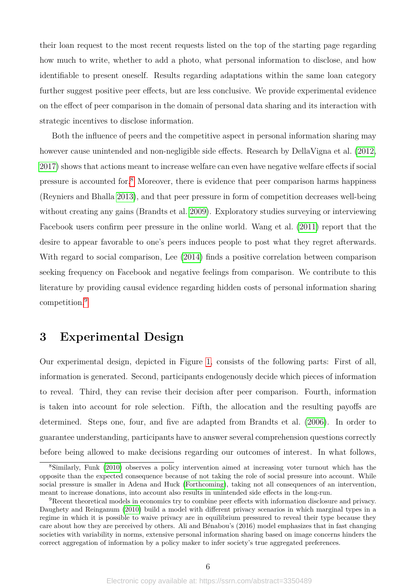their loan request to the most recent requests listed on the top of the starting page regarding how much to write, whether to add a photo, what personal information to disclose, and how identifiable to present oneself. Results regarding adaptations within the same loan category further suggest positive peer effects, but are less conclusive. We provide experimental evidence on the effect of peer comparison in the domain of personal data sharing and its interaction with strategic incentives to disclose information.

Both the influence of peers and the competitive aspect in personal information sharing may however cause unintended and non-negligible side effects. Research by DellaVigna et al. [\(2012,](#page-37-1) [2017\)](#page-37-2) shows that actions meant to increase welfare can even have negative welfare effects if social pressure is accounted for.[8](#page-8-1) Moreover, there is evidence that peer comparison harms happiness (Reyniers and Bhalla [2013\)](#page-39-0), and that peer pressure in form of competition decreases well-being without creating any gains (Brandts et al. [2009\)](#page-36-5). Exploratory studies surveying or interviewing Facebook users confirm peer pressure in the online world. Wang et al. [\(2011\)](#page-40-0) report that the desire to appear favorable to one's peers induces people to post what they regret afterwards. With regard to social comparison, Lee  $(2014)$  finds a positive correlation between comparison seeking frequency on Facebook and negative feelings from comparison. We contribute to this literature by providing causal evidence regarding hidden costs of personal information sharing competition.[9](#page-8-2)

# <span id="page-8-0"></span>**3 Experimental Design**

Our experimental design, depicted in Figure [1,](#page-9-0) consists of the following parts: First of all, information is generated. Second, participants endogenously decide which pieces of information to reveal. Third, they can revise their decision after peer comparison. Fourth, information is taken into account for role selection. Fifth, the allocation and the resulting payoffs are determined. Steps one, four, and five are adapted from Brandts et al. [\(2006\)](#page-36-3). In order to guarantee understanding, participants have to answer several comprehension questions correctly before being allowed to make decisions regarding our outcomes of interest. In what follows,

<span id="page-8-1"></span><sup>8</sup>Similarly, Funk [\(2010\)](#page-37-10) observes a policy intervention aimed at increasing voter turnout which has the opposite than the expected consequence because of not taking the role of social pressure into account. While social pressure is smaller in Adena and Huck [\(Forthcoming\)](#page-35-10), taking not all consequences of an intervention, meant to increase donations, into account also results in unintended side effects in the long-run.

<span id="page-8-2"></span><sup>9</sup>Recent theoretical models in economics try to combine peer effects with information disclosure and privacy. Daughety and Reinganum [\(2010\)](#page-37-11) build a model with different privacy scenarios in which marginal types in a regime in which it is possible to waive privacy are in equilibrium pressured to reveal their type because they care about how they are perceived by others. Ali and Bénabou's (2016) model emphasizes that in fast changing societies with variability in norms, extensive personal information sharing based on image concerns hinders the correct aggregation of information by a policy maker to infer society's true aggregated preferences.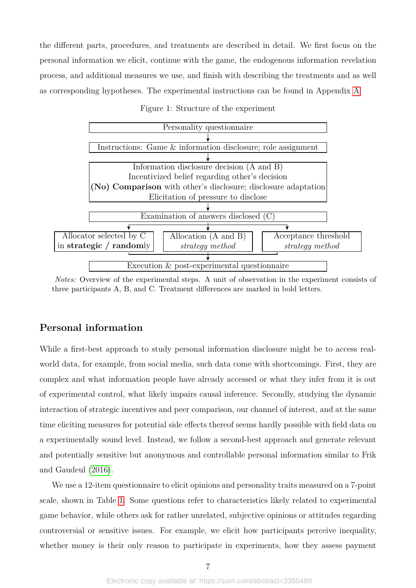the different parts, procedures, and treatments are described in detail. We first focus on the personal information we elicit, continue with the game, the endogenous information revelation process, and additional measures we use, and finish with describing the treatments and as well as corresponding hypotheses. The experimental instructions can be found in Appendix [A.](#page-41-0)

<span id="page-9-0"></span>

Figure 1: Structure of the experiment

*Notes:* Overview of the experimental steps. A unit of observation in the experiment consists of three participants A, B, and C. Treatment differences are marked in bold letters.

## **Personal information**

While a first-best approach to study personal information disclosure might be to access realworld data, for example, from social media, such data come with shortcomings. First, they are complex and what information people have already accessed or what they infer from it is out of experimental control, what likely impairs causal inference. Secondly, studying the dynamic interaction of strategic incentives and peer comparison, our channel of interest, and at the same time eliciting measures for potential side effects thereof seems hardly possible with field data on a experimentally sound level. Instead, we follow a second-best approach and generate relevant and potentially sensitive but anonymous and controllable personal information similar to Frik and Gaudeul [\(2016\)](#page-37-12).

We use a 12-item questionnaire to elicit opinions and personality traits measured on a 7-point scale, shown in Table [1.](#page-10-0) Some questions refer to characteristics likely related to experimental game behavior, while others ask for rather unrelated, subjective opinions or attitudes regarding controversial or sensitive issues. For example, we elicit how participants perceive inequality, whether money is their only reason to participate in experiments, how they assess payment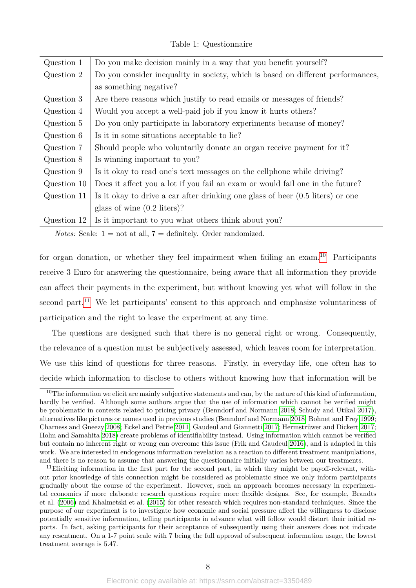<span id="page-10-0"></span>

| Question 1  | Do you make decision mainly in a way that you benefit yourself?                          |
|-------------|------------------------------------------------------------------------------------------|
| Question 2  | Do you consider inequality in society, which is based on different performances,         |
|             | as something negative?                                                                   |
| Question 3  | Are there reasons which justify to read emails or messages of friends?                   |
| Question 4  | Would you accept a well-paid job if you know it hurts others?                            |
| Question 5  | Do you only participate in laboratory experiments because of money?                      |
| Question 6  | Is it in some situations acceptable to lie?                                              |
| Question 7  | Should people who voluntarily donate an organ receive payment for it?                    |
| Question 8  | Is winning important to you?                                                             |
| Question 9  | Is it okay to read one's text messages on the cellphone while driving?                   |
| Question 10 | Does it affect you a lot if you fail an exam or would fail one in the future?            |
| Question 11 | Is it okay to drive a car after drinking one glass of beer $(0.5 \text{ liters})$ or one |
|             | glass of wine $(0.2$ liters)?                                                            |
| Question 12 | Is it important to you what others think about you?                                      |

*Notes:* Scale:  $1 = \text{not at all}$ ,  $7 = \text{definitely}$ . Order randomized.

for organ donation, or whether they feel impairment when failing an exam.<sup>[10](#page-10-1)</sup> Participants receive 3 Euro for answering the questionnaire, being aware that all information they provide can affect their payments in the experiment, but without knowing yet what will follow in the second part.<sup>[11](#page-10-2)</sup> We let participants' consent to this approach and emphasize voluntariness of participation and the right to leave the experiment at any time.

The questions are designed such that there is no general right or wrong. Consequently, the relevance of a question must be subjectively assessed, which leaves room for interpretation. We use this kind of questions for three reasons. Firstly, in everyday life, one often has to decide which information to disclose to others without knowing how that information will be

<span id="page-10-1"></span> $10$ The information we elicit are mainly subjective statements and can, by the nature of this kind of information, hardly be verified. Although some authors argue that the use of information which cannot be verified might be problematic in contexts related to pricing privacy (Benndorf and Normann [2018;](#page-35-3) Schudy and Utikal [2017\)](#page-39-10), alternatives like pictures or names used in previous studies (Benndorf and Normann [2018;](#page-35-3) Bohnet and Frey [1999;](#page-36-2) Charness and Gneezy [2008;](#page-36-4) Eckel and Petrie [2011;](#page-37-0) Gaudeul and Giannetti [2017;](#page-38-3) Hermstrüwer and Dickert [2017;](#page-38-1) Holm and Samahita [2018\)](#page-38-2) create problems of identifiability instead. Using information which cannot be verified but contain no inherent right or wrong can overcome this issue (Frik and Gaudeul [2016\)](#page-37-12), and is adapted in this work. We are interested in endogenous information revelation as a reaction to different treatment manipulations, and there is no reason to assume that answering the questionnaire initially varies between our treatments.

<span id="page-10-2"></span><sup>&</sup>lt;sup>11</sup>Eliciting information in the first part for the second part, in which they might be payoff-relevant, without prior knowledge of this connection might be considered as problematic since we only inform participants gradually about the course of the experiment. However, such an approach becomes necessary in experimental economics if more elaborate research questions require more flexible designs. See, for example, Brandts et al. [\(2006\)](#page-36-3) and Khalmetski et al. [\(2015\)](#page-38-9) for other research which requires non-standard techniques. Since the purpose of our experiment is to investigate how economic and social pressure affect the willingness to disclose potentially sensitive information, telling participants in advance what will follow would distort their initial reports. In fact, asking participants for their acceptance of subsequently using their answers does not indicate any resentment. On a 1-7 point scale with 7 being the full approval of subsequent information usage, the lowest treatment average is 5.47.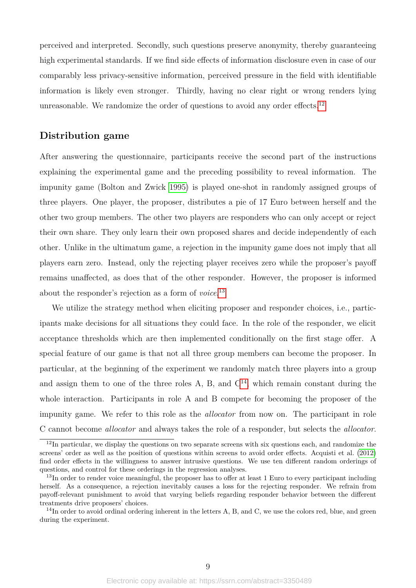perceived and interpreted. Secondly, such questions preserve anonymity, thereby guaranteeing high experimental standards. If we find side effects of information disclosure even in case of our comparably less privacy-sensitive information, perceived pressure in the field with identifiable information is likely even stronger. Thirdly, having no clear right or wrong renders lying unreasonable. We randomize the order of questions to avoid any order effects.<sup>[12](#page-11-0)</sup>

### **Distribution game**

After answering the questionnaire, participants receive the second part of the instructions explaining the experimental game and the preceding possibility to reveal information. The impunity game (Bolton and Zwick [1995\)](#page-36-10) is played one-shot in randomly assigned groups of three players. One player, the proposer, distributes a pie of 17 Euro between herself and the other two group members. The other two players are responders who can only accept or reject their own share. They only learn their own proposed shares and decide independently of each other. Unlike in the ultimatum game, a rejection in the impunity game does not imply that all players earn zero. Instead, only the rejecting player receives zero while the proposer's payoff remains unaffected, as does that of the other responder. However, the proposer is informed about the responder's rejection as a form of *voice*. [13](#page-11-1)

We utilize the strategy method when eliciting proposer and responder choices, i.e., participants make decisions for all situations they could face. In the role of the responder, we elicit acceptance thresholds which are then implemented conditionally on the first stage offer. A special feature of our game is that not all three group members can become the proposer. In particular, at the beginning of the experiment we randomly match three players into a group and assign them to one of the three roles A, B, and  $C^{14}$  $C^{14}$  $C^{14}$ , which remain constant during the whole interaction. Participants in role A and B compete for becoming the proposer of the impunity game. We refer to this role as the *allocator* from now on. The participant in role C cannot become *allocator* and always takes the role of a responder, but selects the *allocator*.

<span id="page-11-0"></span> $12$ In particular, we display the questions on two separate screens with six questions each, and randomize the screens' order as well as the position of questions within screens to avoid order effects. Acquisti et al. [\(2012\)](#page-35-0) find order effects in the willingness to answer intrusive questions. We use ten different random orderings of questions, and control for these orderings in the regression analyses.

<span id="page-11-1"></span><sup>&</sup>lt;sup>13</sup>In order to render voice meaningful, the proposer has to offer at least 1 Euro to every participant including herself. As a consequence, a rejection inevitably causes a loss for the rejecting responder. We refrain from payoff-relevant punishment to avoid that varying beliefs regarding responder behavior between the different treatments drive proposers' choices.

<span id="page-11-2"></span> $14$ In order to avoid ordinal ordering inherent in the letters A, B, and C, we use the colors red, blue, and green during the experiment.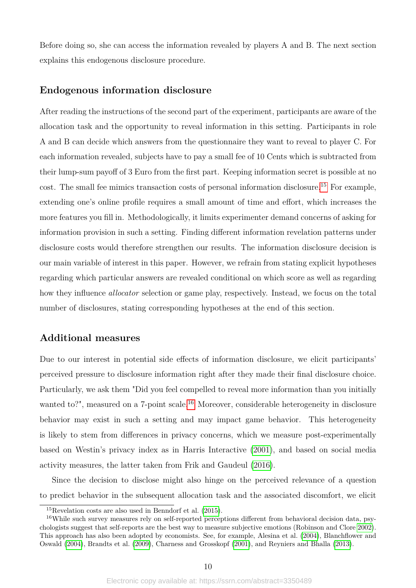Before doing so, she can access the information revealed by players A and B. The next section explains this endogenous disclosure procedure.

### **Endogenous information disclosure**

After reading the instructions of the second part of the experiment, participants are aware of the allocation task and the opportunity to reveal information in this setting. Participants in role A and B can decide which answers from the questionnaire they want to reveal to player C. For each information revealed, subjects have to pay a small fee of 10 Cents which is subtracted from their lump-sum payoff of 3 Euro from the first part. Keeping information secret is possible at no cost. The small fee mimics transaction costs of personal information disclosure.<sup>[15](#page-12-0)</sup> For example, extending one's online profile requires a small amount of time and effort, which increases the more features you fill in. Methodologically, it limits experimenter demand concerns of asking for information provision in such a setting. Finding different information revelation patterns under disclosure costs would therefore strengthen our results. The information disclosure decision is our main variable of interest in this paper. However, we refrain from stating explicit hypotheses regarding which particular answers are revealed conditional on which score as well as regarding how they influence *allocator* selection or game play, respectively. Instead, we focus on the total number of disclosures, stating corresponding hypotheses at the end of this section.

### **Additional measures**

Due to our interest in potential side effects of information disclosure, we elicit participants' perceived pressure to disclosure information right after they made their final disclosure choice. Particularly, we ask them "Did you feel compelled to reveal more information than you initially wanted to?", measured on a 7-point scale.<sup>[16](#page-12-1)</sup> Moreover, considerable heterogeneity in disclosure behavior may exist in such a setting and may impact game behavior. This heterogeneity is likely to stem from differences in privacy concerns, which we measure post-experimentally based on Westin's privacy index as in Harris Interactive [\(2001\)](#page-38-10), and based on social media activity measures, the latter taken from Frik and Gaudeul [\(2016\)](#page-37-12).

Since the decision to disclose might also hinge on the perceived relevance of a question to predict behavior in the subsequent allocation task and the associated discomfort, we elicit

<span id="page-12-1"></span><span id="page-12-0"></span><sup>15</sup>Revelation costs are also used in Benndorf et al. [\(2015\)](#page-35-1).

<sup>&</sup>lt;sup>16</sup>While such survey measures rely on self-reported perceptions different from behavioral decision data, psychologists suggest that self-reports are the best way to measure subjective emotions (Robinson and Clore [2002\)](#page-39-11). This approach has also been adopted by economists. See, for example, Alesina et al. [\(2004\)](#page-35-11), Blanchflower and Oswald [\(2004\)](#page-36-11), Brandts et al. [\(2009\)](#page-36-5), Charness and Grosskopf [\(2001\)](#page-36-12), and Reyniers and Bhalla [\(2013\)](#page-39-0).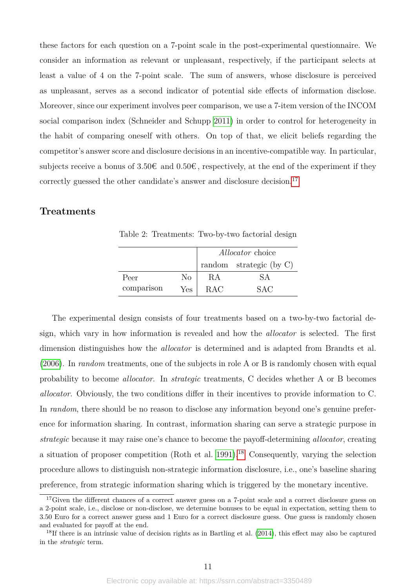these factors for each question on a 7-point scale in the post-experimental questionnaire. We consider an information as relevant or unpleasant, respectively, if the participant selects at least a value of 4 on the 7-point scale. The sum of answers, whose disclosure is perceived as unpleasant, serves as a second indicator of potential side effects of information disclose. Moreover, since our experiment involves peer comparison, we use a 7-item version of the INCOM social comparison index (Schneider and Schupp [2011\)](#page-39-12) in order to control for heterogeneity in the habit of comparing oneself with others. On top of that, we elicit beliefs regarding the competitor's answer score and disclosure decisions in an incentive-compatible way. In particular, subjects receive a bonus of  $3.50\epsilon$  and  $0.50\epsilon$ , respectively, at the end of the experiment if they correctly guessed the other candidate's answer and disclosure decision.<sup>[17](#page-13-0)</sup>

## **Treatments**

|            |     | <i>Allocator</i> choice |                            |  |  |  |
|------------|-----|-------------------------|----------------------------|--|--|--|
|            |     |                         | random strategic (by $C$ ) |  |  |  |
| Peer       | No  | R.A                     | SА                         |  |  |  |
| comparison | Yes | RAC.                    | <b>SAC</b>                 |  |  |  |

Table 2: Treatments: Two-by-two factorial design

The experimental design consists of four treatments based on a two-by-two factorial design, which vary in how information is revealed and how the *allocator* is selected. The first dimension distinguishes how the *allocator* is determined and is adapted from Brandts et al. [\(2006\)](#page-36-3). In *random* treatments, one of the subjects in role A or B is randomly chosen with equal probability to become *allocator*. In *strategic* treatments, C decides whether A or B becomes *allocator*. Obviously, the two conditions differ in their incentives to provide information to C. In *random*, there should be no reason to disclose any information beyond one's genuine preference for information sharing. In contrast, information sharing can serve a strategic purpose in *strategic* because it may raise one's chance to become the payoff-determining *allocator*, creating a situation of proposer competition (Roth et al. [1991\)](#page-39-7).<sup>[18](#page-13-1)</sup> Consequently, varying the selection procedure allows to distinguish non-strategic information disclosure, i.e., one's baseline sharing preference, from strategic information sharing which is triggered by the monetary incentive.

<span id="page-13-0"></span><sup>&</sup>lt;sup>17</sup>Given the different chances of a correct answer guess on a 7-point scale and a correct disclosure guess on a 2-point scale, i.e., disclose or non-disclose, we determine bonuses to be equal in expectation, setting them to 3.50 Euro for a correct answer guess and 1 Euro for a correct disclosure guess. One guess is randomly chosen and evaluated for payoff at the end.

<span id="page-13-1"></span><sup>&</sup>lt;sup>18</sup>If there is an intrinsic value of decision rights as in Bartling et al. [\(2014\)](#page-35-12), this effect may also be captured in the *strategic* term.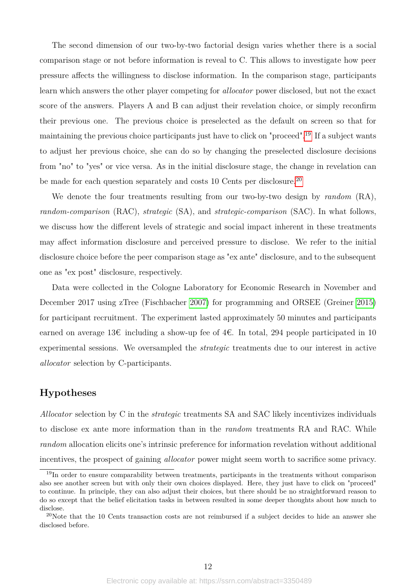The second dimension of our two-by-two factorial design varies whether there is a social comparison stage or not before information is reveal to C. This allows to investigate how peer pressure affects the willingness to disclose information. In the comparison stage, participants learn which answers the other player competing for *allocator* power disclosed, but not the exact score of the answers. Players A and B can adjust their revelation choice, or simply reconfirm their previous one. The previous choice is preselected as the default on screen so that for maintaining the previous choice participants just have to click on "proceed".[19](#page-14-0) If a subject wants to adjust her previous choice, she can do so by changing the preselected disclosure decisions from "no" to "yes" or vice versa. As in the initial disclosure stage, the change in revelation can be made for each question separately and costs 10 Cents per disclosure.<sup>[20](#page-14-1)</sup>

We denote the four treatments resulting from our two-by-two design by *random* (RA), *random-comparison* (RAC), *strategic* (SA), and *strategic-comparison* (SAC). In what follows, we discuss how the different levels of strategic and social impact inherent in these treatments may affect information disclosure and perceived pressure to disclose. We refer to the initial disclosure choice before the peer comparison stage as "ex ante" disclosure, and to the subsequent one as "ex post" disclosure, respectively.

Data were collected in the Cologne Laboratory for Economic Research in November and December 2017 using zTree (Fischbacher [2007\)](#page-37-13) for programming and ORSEE (Greiner [2015\)](#page-38-11) for participant recruitment. The experiment lasted approximately 50 minutes and participants earned on average  $13\epsilon$  including a show-up fee of  $4\epsilon$ . In total, 294 people participated in 10 experimental sessions. We oversampled the *strategic* treatments due to our interest in active *allocator* selection by C-participants.

### **Hypotheses**

*Allocator* selection by C in the *strategic* treatments SA and SAC likely incentivizes individuals to disclose ex ante more information than in the *random* treatments RA and RAC. While *random* allocation elicits one's intrinsic preference for information revelation without additional incentives, the prospect of gaining *allocator* power might seem worth to sacrifice some privacy.

<span id="page-14-0"></span><sup>19</sup>In order to ensure comparability between treatments, participants in the treatments without comparison also see another screen but with only their own choices displayed. Here, they just have to click on "proceed" to continue. In principle, they can also adjust their choices, but there should be no straightforward reason to do so except that the belief elicitation tasks in between resulted in some deeper thoughts about how much to disclose.

<span id="page-14-1"></span><sup>20</sup>Note that the 10 Cents transaction costs are not reimbursed if a subject decides to hide an answer she disclosed before.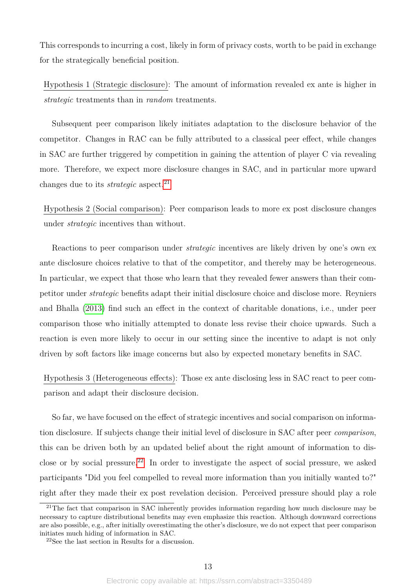This corresponds to incurring a cost, likely in form of privacy costs, worth to be paid in exchange for the strategically beneficial position.

Hypothesis 1 (Strategic disclosure): The amount of information revealed ex ante is higher in *strategic* treatments than in *random* treatments.

Subsequent peer comparison likely initiates adaptation to the disclosure behavior of the competitor. Changes in RAC can be fully attributed to a classical peer effect, while changes in SAC are further triggered by competition in gaining the attention of player C via revealing more. Therefore, we expect more disclosure changes in SAC, and in particular more upward changes due to its *strategic* aspect.[21](#page-15-0)

Hypothesis 2 (Social comparison): Peer comparison leads to more ex post disclosure changes under *strategic* incentives than without.

Reactions to peer comparison under *strategic* incentives are likely driven by one's own ex ante disclosure choices relative to that of the competitor, and thereby may be heterogeneous. In particular, we expect that those who learn that they revealed fewer answers than their competitor under *strategic* benefits adapt their initial disclosure choice and disclose more. Reyniers and Bhalla [\(2013\)](#page-39-0) find such an effect in the context of charitable donations, i.e., under peer comparison those who initially attempted to donate less revise their choice upwards. Such a reaction is even more likely to occur in our setting since the incentive to adapt is not only driven by soft factors like image concerns but also by expected monetary benefits in SAC.

Hypothesis 3 (Heterogeneous effects): Those ex ante disclosing less in SAC react to peer comparison and adapt their disclosure decision.

So far, we have focused on the effect of strategic incentives and social comparison on information disclosure. If subjects change their initial level of disclosure in SAC after peer *comparison*, this can be driven both by an updated belief about the right amount of information to dis-close or by social pressure.<sup>[22](#page-15-1)</sup> In order to investigate the aspect of social pressure, we asked participants "Did you feel compelled to reveal more information than you initially wanted to?" right after they made their ex post revelation decision. Perceived pressure should play a role

<span id="page-15-0"></span> $21$ The fact that comparison in SAC inherently provides information regarding how much disclosure may be necessary to capture distributional benefits may even emphasize this reaction. Although downward corrections are also possible, e.g., after initially overestimating the other's disclosure, we do not expect that peer comparison initiates much hiding of information in SAC.

<span id="page-15-1"></span><sup>22</sup>See the last section in Results for a discussion.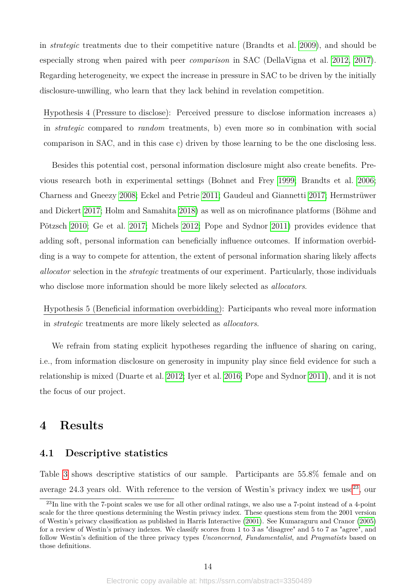in *strategic* treatments due to their competitive nature (Brandts et al. [2009\)](#page-36-5), and should be especially strong when paired with peer *comparison* in SAC (DellaVigna et al. [2012,](#page-37-1) [2017\)](#page-37-2). Regarding heterogeneity, we expect the increase in pressure in SAC to be driven by the initially disclosure-unwilling, who learn that they lack behind in revelation competition.

Hypothesis 4 (Pressure to disclose): Perceived pressure to disclose information increases a) in *strategic* compared to *random* treatments, b) even more so in combination with social comparison in SAC, and in this case c) driven by those learning to be the one disclosing less.

Besides this potential cost, personal information disclosure might also create benefits. Previous research both in experimental settings (Bohnet and Frey [1999;](#page-36-2) Brandts et al. [2006;](#page-36-3) Charness and Gneezy [2008;](#page-36-4) Eckel and Petrie [2011;](#page-37-0) Gaudeul and Giannetti [2017;](#page-38-3) Hermstrüwer and Dickert [2017;](#page-38-1) Holm and Samahita [2018\)](#page-38-2) as well as on microfinance platforms (Böhme and Pötzsch [2010;](#page-36-6) Ge et al. [2017;](#page-38-6) Michels [2012;](#page-39-3) Pope and Sydnor [2011\)](#page-39-4) provides evidence that adding soft, personal information can beneficially influence outcomes. If information overbidding is a way to compete for attention, the extent of personal information sharing likely affects *allocator* selection in the *strategic* treatments of our experiment. Particularly, those individuals who disclose more information should be more likely selected as *allocators*.

Hypothesis 5 (Beneficial information overbidding): Participants who reveal more information in *strategic* treatments are more likely selected as *allocators*.

We refrain from stating explicit hypotheses regarding the influence of sharing on caring, i.e., from information disclosure on generosity in impunity play since field evidence for such a relationship is mixed (Duarte et al. [2012;](#page-37-5) Iyer et al. [2016;](#page-38-7) Pope and Sydnor [2011\)](#page-39-4), and it is not the focus of our project.

# <span id="page-16-0"></span>**4 Results**

### **4.1 Descriptive statistics**

Table [3](#page-17-0) shows descriptive statistics of our sample. Participants are 55.8% female and on average 24.3 years old. With reference to the version of Westin's privacy index we use  $23$ , our

<span id="page-16-1"></span><sup>23</sup>In line with the 7-point scales we use for all other ordinal ratings, we also use a 7-point instead of a 4-point scale for the three questions determining the Westin privacy index. These questions stem from the 2001 version of Westin's privacy classification as published in Harris Interactive [\(2001\)](#page-38-10). See Kumaraguru and Cranor [\(2005\)](#page-38-12) for a review of Westin's privacy indexes. We classify scores from 1 to 3 as "disagree" and 5 to 7 as "agree", and follow Westin's definition of the three privacy types *Unconcerned, Fundamentalist*, and *Pragmatists* based on those definitions.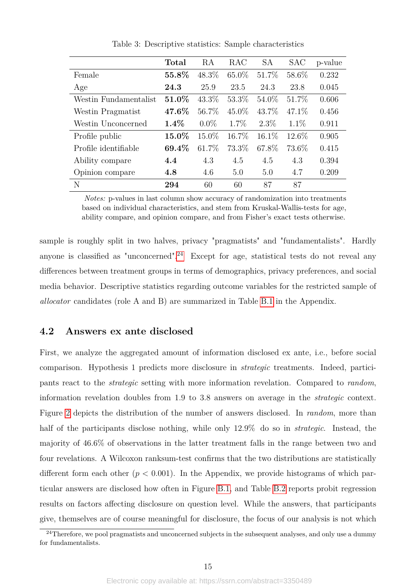<span id="page-17-0"></span>

|                       | Total    | RA       | <b>RAC</b> | <b>SA</b> | <b>SAC</b> | p-value |
|-----------------------|----------|----------|------------|-----------|------------|---------|
| Female                | $55.8\%$ | 48.3%    | 65.0%      | 51.7%     | 58.6%      | 0.232   |
| Age                   | 24.3     | 25.9     | 23.5       | 24.3      | 23.8       | 0.045   |
| Westin Fundamentalist | 51.0%    | $43.3\%$ | 53.3%      | 54.0%     | 51.7%      | 0.606   |
| Westin Pragmatist     | 47.6%    | 56.7%    | 45.0%      | 43.7%     | 47.1\%     | 0.456   |
| Westin Unconcerned    | $1.4\%$  | $0.0\%$  | $1.7\%$    | $2.3\%$   | $1.1\%$    | 0.911   |
| Profile public        | 15.0%    | 15.0%    | 16.7%      | 16.1%     | 12.6%      | 0.905   |
| Profile identifiable  | $69.4\%$ | 61.7%    | 73.3%      | 67.8%     | 73.6%      | 0.415   |
| Ability compare       | 4.4      | 4.3      | 4.5        | 4.5       | 4.3        | 0.394   |
| Opinion compare       | 4.8      | 4.6      | 5.0        | 5.0       | 4.7        | 0.209   |
| N                     | 294      | 60       | 60         | 87        | 87         |         |

Table 3: Descriptive statistics: Sample characteristics

*Notes:* p-values in last column show accuracy of randomization into treatments based on individual characteristics, and stem from Kruskal-Wallis-tests for age, ability compare, and opinion compare, and from Fisher's exact tests otherwise.

sample is roughly split in two halves, privacy "pragmatists" and "fundamentalists". Hardly anyone is classified as "unconcerned".<sup>[24](#page-17-1)</sup> Except for age, statistical tests do not reveal any differences between treatment groups in terms of demographics, privacy preferences, and social media behavior. Descriptive statistics regarding outcome variables for the restricted sample of *allocator* candidates (role A and B) are summarized in Table [B.1](#page-44-0) in the Appendix.

### **4.2 Answers ex ante disclosed**

First, we analyze the aggregated amount of information disclosed ex ante, i.e., before social comparison. Hypothesis 1 predicts more disclosure in *strategic* treatments. Indeed, participants react to the *strategic* setting with more information revelation. Compared to *random*, information revelation doubles from 1.9 to 3.8 answers on average in the *strategic* context. Figure [2](#page-18-0) depicts the distribution of the number of answers disclosed. In *random*, more than half of the participants disclose nothing, while only 12.9% do so in *strategic*. Instead, the majority of 46.6% of observations in the latter treatment falls in the range between two and four revelations. A Wilcoxon ranksum-test confirms that the two distributions are statistically different form each other  $(p < 0.001)$ . In the Appendix, we provide histograms of which particular answers are disclosed how often in Figure [B.1,](#page-45-0) and Table [B.2](#page-47-0) reports probit regression results on factors affecting disclosure on question level. While the answers, that participants give, themselves are of course meaningful for disclosure, the focus of our analysis is not which

<span id="page-17-1"></span><sup>&</sup>lt;sup>24</sup>Therefore, we pool pragmatists and unconcerned subjects in the subsequent analyses, and only use a dummy for fundamentalists.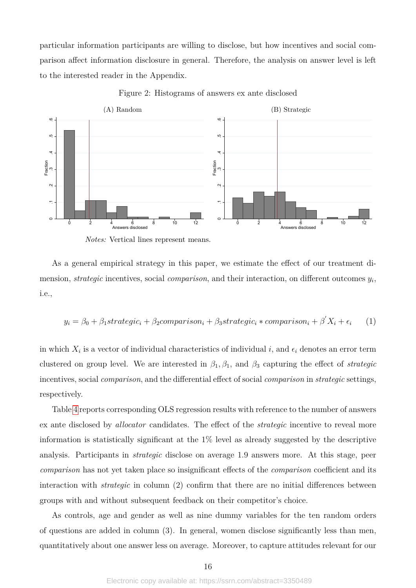particular information participants are willing to disclose, but how incentives and social comparison affect information disclosure in general. Therefore, the analysis on answer level is left to the interested reader in the Appendix.

<span id="page-18-0"></span>

Figure 2: Histograms of answers ex ante disclosed

*Notes:* Vertical lines represent means.

As a general empirical strategy in this paper, we estimate the effect of our treatment dimension, *strategic* incentives, social *comparison*, and their interaction, on different outcomes  $y_i$ , i.e.,

$$
y_i = \beta_0 + \beta_1 strategyic_i + \beta_2 comparison_i + \beta_3 strategyic_i * comparison_i + \beta' X_i + \epsilon_i \tag{1}
$$

in which  $X_i$  is a vector of individual characteristics of individual *i*, and  $\epsilon_i$  denotes an error term clustered on group level. We are interested in  $\beta_1, \beta_1$ , and  $\beta_3$  capturing the effect of *strategic* incentives, social *comparison*, and the differential effect of social *comparison* in *strategic* settings, respectively.

Table [4](#page-19-0) reports corresponding OLS regression results with reference to the number of answers ex ante disclosed by *allocator* candidates. The effect of the *strategic* incentive to reveal more information is statistically significant at the 1% level as already suggested by the descriptive analysis. Participants in *strategic* disclose on average 1.9 answers more. At this stage, peer *comparison* has not yet taken place so insignificant effects of the *comparison* coefficient and its interaction with *strategic* in column (2) confirm that there are no initial differences between groups with and without subsequent feedback on their competitor's choice.

As controls, age and gender as well as nine dummy variables for the ten random orders of questions are added in column (3). In general, women disclose significantly less than men, quantitatively about one answer less on average. Moreover, to capture attitudes relevant for our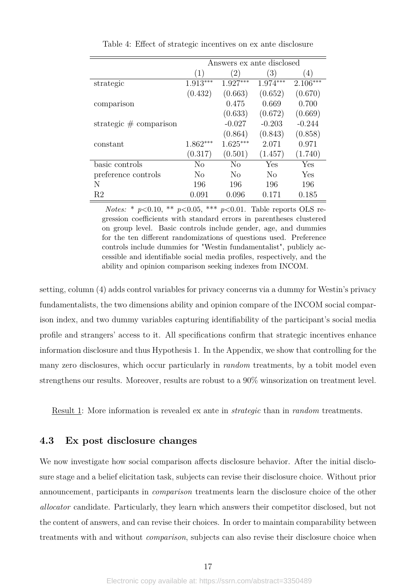<span id="page-19-0"></span>

|                          | Answers ex ante disclosed |                   |                |            |  |  |  |
|--------------------------|---------------------------|-------------------|----------------|------------|--|--|--|
|                          | (1)                       | $\left( 2\right)$ | (3)            | (4)        |  |  |  |
| strategic                | $1.913***$                | $1.927***$        | $1.974***$     | $2.106***$ |  |  |  |
|                          | (0.432)                   | (0.663)           | (0.652)        | (0.670)    |  |  |  |
| comparison               |                           | 0.475             | 0.669          | 0.700      |  |  |  |
|                          |                           | (0.633)           | (0.672)        | (0.669)    |  |  |  |
| strategic $#$ comparison |                           | $-0.027$          | $-0.203$       | $-0.244$   |  |  |  |
|                          |                           | (0.864)           | (0.843)        | (0.858)    |  |  |  |
| constant                 | $1.862***$                | $1.625***$        | 2.071          | 0.971      |  |  |  |
|                          | (0.317)                   | (0.501)           | (1.457)        | (1.740)    |  |  |  |
| basic controls           | No                        | No                | Yes            | Yes        |  |  |  |
| preference controls      | $\rm No$                  | No                | N <sub>0</sub> | Yes        |  |  |  |
| N                        | 196                       | 196               | 196            | 196        |  |  |  |
| R2                       | 0.091                     | 0.096             | 0.171          | 0.185      |  |  |  |

Table 4: Effect of strategic incentives on ex ante disclosure

*Notes:* \* *p*<0.10, \*\* *p*<0.05, \*\*\* *p*<0.01. Table reports OLS regression coefficients with standard errors in parentheses clustered on group level. Basic controls include gender, age, and dummies for the ten different randomizations of questions used. Preference controls include dummies for "Westin fundamentalist", publicly accessible and identifiable social media profiles, respectively, and the ability and opinion comparison seeking indexes from INCOM.

setting, column (4) adds control variables for privacy concerns via a dummy for Westin's privacy fundamentalists, the two dimensions ability and opinion compare of the INCOM social comparison index, and two dummy variables capturing identifiability of the participant's social media profile and strangers' access to it. All specifications confirm that strategic incentives enhance information disclosure and thus Hypothesis 1. In the Appendix, we show that controlling for the many zero disclosures, which occur particularly in *random* treatments, by a tobit model even strengthens our results. Moreover, results are robust to a 90% winsorization on treatment level.

Result 1: More information is revealed ex ante in *strategic* than in *random* treatments.

### **4.3 Ex post disclosure changes**

We now investigate how social comparison affects disclosure behavior. After the initial disclosure stage and a belief elicitation task, subjects can revise their disclosure choice. Without prior announcement, participants in *comparison* treatments learn the disclosure choice of the other *allocator* candidate. Particularly, they learn which answers their competitor disclosed, but not the content of answers, and can revise their choices. In order to maintain comparability between treatments with and without *comparison*, subjects can also revise their disclosure choice when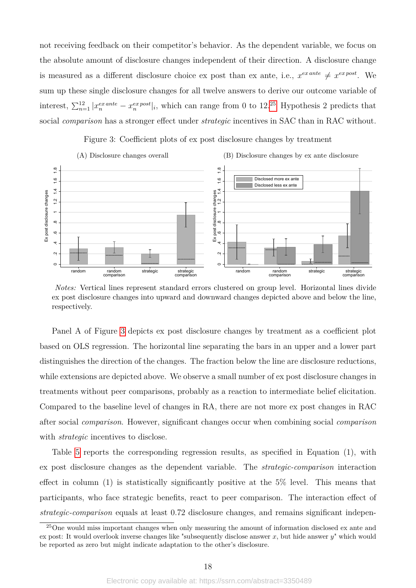not receiving feedback on their competitor's behavior. As the dependent variable, we focus on the absolute amount of disclosure changes independent of their direction. A disclosure change is measured as a different disclosure choice ex post than ex ante, i.e.,  $x^{example} \neq x^{expost}$ . We sum up these single disclosure changes for all twelve answers to derive our outcome variable of interest,  $\sum_{n=1}^{12} |x_n^{ex\,ante} - x_n^{ex\,post}|_i$ , which can range from 0 to 12.<sup>[25](#page-20-0)</sup> Hypothesis 2 predicts that social *comparison* has a stronger effect under *strategic* incentives in SAC than in RAC without.

Figure 3: Coefficient plots of ex post disclosure changes by treatment

<span id="page-20-1"></span>

*Notes:* Vertical lines represent standard errors clustered on group level. Horizontal lines divide ex post disclosure changes into upward and downward changes depicted above and below the line, respectively.

Panel A of Figure [3](#page-20-1) depicts ex post disclosure changes by treatment as a coefficient plot based on OLS regression. The horizontal line separating the bars in an upper and a lower part distinguishes the direction of the changes. The fraction below the line are disclosure reductions, while extensions are depicted above. We observe a small number of ex post disclosure changes in treatments without peer comparisons, probably as a reaction to intermediate belief elicitation. Compared to the baseline level of changes in RA, there are not more ex post changes in RAC after social *comparison*. However, significant changes occur when combining social *comparison* with *strategic* incentives to disclose.

Table [5](#page-21-0) reports the corresponding regression results, as specified in Equation (1), with ex post disclosure changes as the dependent variable. The *strategic-comparison* interaction effect in column (1) is statistically significantly positive at the 5% level. This means that participants, who face strategic benefits, react to peer comparison. The interaction effect of *strategic-comparison* equals at least 0.72 disclosure changes, and remains significant indepen-

<span id="page-20-0"></span><sup>25</sup>One would miss important changes when only measuring the amount of information disclosed ex ante and ex post: It would overlook inverse changes like "subsequently disclose answer *x*, but hide answer *y*" which would be reported as zero but might indicate adaptation to the other's disclosure.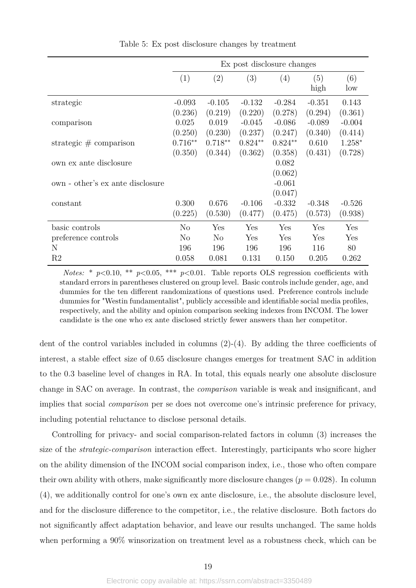<span id="page-21-0"></span>

|                                  | Ex post disclosure changes |                      |                      |                      |                     |                     |  |
|----------------------------------|----------------------------|----------------------|----------------------|----------------------|---------------------|---------------------|--|
|                                  | (1)                        | (2)                  | (3)                  | (4)                  | (5)<br>high         | (6)<br>low          |  |
| strategic                        | $-0.093$<br>(0.236)        | $-0.105$<br>(0.219)  | $-0.132$<br>(0.220)  | $-0.284$<br>(0.278)  | $-0.351$<br>(0.294) | 0.143<br>(0.361)    |  |
| comparison                       | 0.025                      | 0.019                | $-0.045$             | $-0.086$             | $-0.089$            | $-0.004$            |  |
| strategic $#$ comparison         | (0.250)<br>$0.716**$       | (0.230)<br>$0.718**$ | (0.237)<br>$0.824**$ | (0.247)<br>$0.824**$ | (0.340)<br>0.610    | (0.414)<br>$1.258*$ |  |
| own ex ante disclosure           | (0.350)                    | (0.344)              | (0.362)              | (0.358)<br>0.082     | (0.431)             | (0.728)             |  |
|                                  |                            |                      |                      | (0.062)              |                     |                     |  |
| own - other's ex ante disclosure |                            |                      |                      | $-0.061$<br>(0.047)  |                     |                     |  |
| constant                         | 0.300<br>(0.225)           | 0.676<br>(0.530)     | $-0.106$<br>(0.477)  | $-0.332$<br>(0.475)  | $-0.348$<br>(0.573) | $-0.526$<br>(0.938) |  |
| basic controls                   | $\rm No$                   | Yes                  | Yes                  | Yes                  | Yes                 | Yes                 |  |
| preference controls              | $\rm No$                   | $\rm No$             | Yes                  | Yes                  | Yes                 | Yes                 |  |
| N                                | 196                        | 196                  | 196                  | 196                  | 116                 | 80                  |  |
| R2                               | 0.058                      | 0.081                | 0.131                | 0.150                | 0.205               | 0.262               |  |

Table 5: Ex post disclosure changes by treatment

*Notes:* \*  $p<0.10$ , \*\*  $p<0.05$ , \*\*\*  $p<0.01$ . Table reports OLS regression coefficients with standard errors in parentheses clustered on group level. Basic controls include gender, age, and dummies for the ten different randomizations of questions used. Preference controls include dummies for "Westin fundamentalist", publicly accessible and identifiable social media profiles, respectively, and the ability and opinion comparison seeking indexes from INCOM. The lower candidate is the one who ex ante disclosed strictly fewer answers than her competitor.

dent of the control variables included in columns  $(2)-(4)$ . By adding the three coefficients of interest, a stable effect size of 0.65 disclosure changes emerges for treatment SAC in addition to the 0.3 baseline level of changes in RA. In total, this equals nearly one absolute disclosure change in SAC on average. In contrast, the *comparison* variable is weak and insignificant, and implies that social *comparison* per se does not overcome one's intrinsic preference for privacy, including potential reluctance to disclose personal details.

Controlling for privacy- and social comparison-related factors in column (3) increases the size of the *strategic-comparison* interaction effect. Interestingly, participants who score higher on the ability dimension of the INCOM social comparison index, i.e., those who often compare their own ability with others, make significantly more disclosure changes  $(p = 0.028)$ . In column (4), we additionally control for one's own ex ante disclosure, i.e., the absolute disclosure level, and for the disclosure difference to the competitor, i.e., the relative disclosure. Both factors do not significantly affect adaptation behavior, and leave our results unchanged. The same holds when performing a 90% winsorization on treatment level as a robustness check, which can be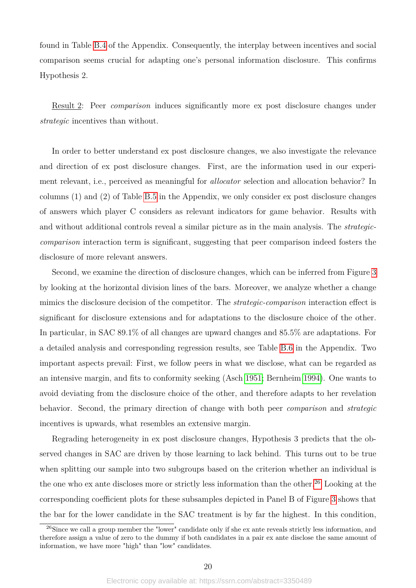found in Table [B.4](#page-48-0) of the Appendix. Consequently, the interplay between incentives and social comparison seems crucial for adapting one's personal information disclosure. This confirms Hypothesis 2.

Result 2: Peer *comparison* induces significantly more ex post disclosure changes under *strategic* incentives than without.

In order to better understand ex post disclosure changes, we also investigate the relevance and direction of ex post disclosure changes. First, are the information used in our experiment relevant, i.e., perceived as meaningful for *allocator* selection and allocation behavior? In columns (1) and (2) of Table [B.5](#page-49-0) in the Appendix, we only consider ex post disclosure changes of answers which player C considers as relevant indicators for game behavior. Results with and without additional controls reveal a similar picture as in the main analysis. The *strategiccomparison* interaction term is significant, suggesting that peer comparison indeed fosters the disclosure of more relevant answers.

Second, we examine the direction of disclosure changes, which can be inferred from Figure [3](#page-20-1) by looking at the horizontal division lines of the bars. Moreover, we analyze whether a change mimics the disclosure decision of the competitor. The *strategic-comparison* interaction effect is significant for disclosure extensions and for adaptations to the disclosure choice of the other. In particular, in SAC 89.1% of all changes are upward changes and 85.5% are adaptations. For a detailed analysis and corresponding regression results, see Table [B.6](#page-49-1) in the Appendix. Two important aspects prevail: First, we follow peers in what we disclose, what can be regarded as an intensive margin, and fits to conformity seeking (Asch [1951;](#page-35-7) Bernheim [1994\)](#page-35-8). One wants to avoid deviating from the disclosure choice of the other, and therefore adapts to her revelation behavior. Second, the primary direction of change with both peer *comparison* and *strategic* incentives is upwards, what resembles an extensive margin.

Regrading heterogeneity in ex post disclosure changes, Hypothesis 3 predicts that the observed changes in SAC are driven by those learning to lack behind. This turns out to be true when splitting our sample into two subgroups based on the criterion whether an individual is the one who ex ante discloses more or strictly less information than the other.<sup>[26](#page-22-0)</sup> Looking at the corresponding coefficient plots for these subsamples depicted in Panel B of Figure [3](#page-20-1) shows that the bar for the lower candidate in the SAC treatment is by far the highest. In this condition,

<span id="page-22-0"></span><sup>&</sup>lt;sup>26</sup>Since we call a group member the "lower" candidate only if she ex ante reveals strictly less information, and therefore assign a value of zero to the dummy if both candidates in a pair ex ante disclose the same amount of information, we have more "high" than "low" candidates.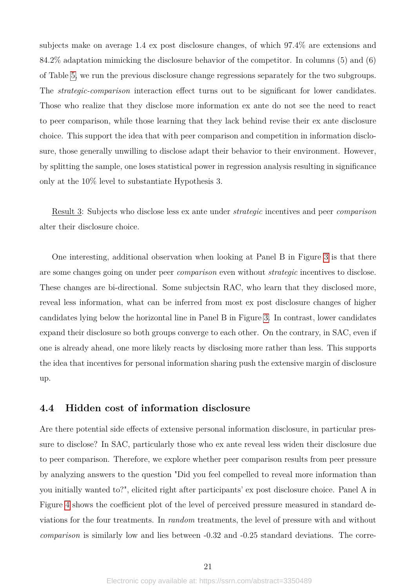subjects make on average 1.4 ex post disclosure changes, of which 97.4% are extensions and 84.2% adaptation mimicking the disclosure behavior of the competitor. In columns (5) and (6) of Table [5,](#page-21-0) we run the previous disclosure change regressions separately for the two subgroups. The *strategic-comparison* interaction effect turns out to be significant for lower candidates. Those who realize that they disclose more information ex ante do not see the need to react to peer comparison, while those learning that they lack behind revise their ex ante disclosure choice. This support the idea that with peer comparison and competition in information disclosure, those generally unwilling to disclose adapt their behavior to their environment. However, by splitting the sample, one loses statistical power in regression analysis resulting in significance only at the 10% level to substantiate Hypothesis 3.

Result 3: Subjects who disclose less ex ante under *strategic* incentives and peer *comparison* alter their disclosure choice.

One interesting, additional observation when looking at Panel B in Figure [3](#page-20-1) is that there are some changes going on under peer *comparison* even without *strategic* incentives to disclose. These changes are bi-directional. Some subjectsin RAC, who learn that they disclosed more, reveal less information, what can be inferred from most ex post disclosure changes of higher candidates lying below the horizontal line in Panel B in Figure [3.](#page-20-1) In contrast, lower candidates expand their disclosure so both groups converge to each other. On the contrary, in SAC, even if one is already ahead, one more likely reacts by disclosing more rather than less. This supports the idea that incentives for personal information sharing push the extensive margin of disclosure up.

## **4.4 Hidden cost of information disclosure**

Are there potential side effects of extensive personal information disclosure, in particular pressure to disclose? In SAC, particularly those who ex ante reveal less widen their disclosure due to peer comparison. Therefore, we explore whether peer comparison results from peer pressure by analyzing answers to the question "Did you feel compelled to reveal more information than you initially wanted to?", elicited right after participants' ex post disclosure choice. Panel A in Figure [4](#page-24-0) shows the coefficient plot of the level of perceived pressure measured in standard deviations for the four treatments. In *random* treatments, the level of pressure with and without *comparison* is similarly low and lies between -0.32 and -0.25 standard deviations. The corre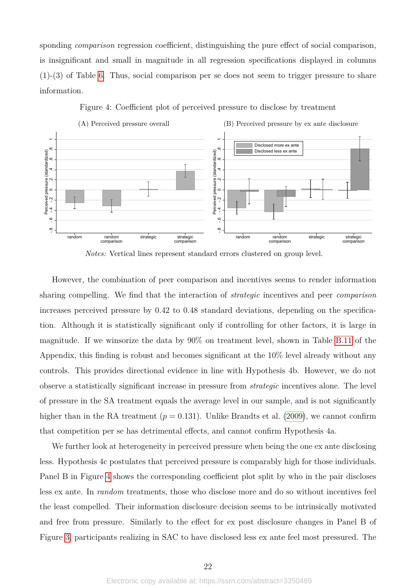sponding *comparison* regression coefficient, distinguishing the pure effect of social comparison, is insignificant and small in magnitude in all regression specifications displayed in columns (1)-(3) of Table [6.](#page-25-0) Thus, social comparison per se does not seem to trigger pressure to share information.

<span id="page-24-0"></span>

Figure 4: Coefficient plot of perceived pressure to disclose by treatment



However, the combination of peer comparison and incentives seems to render information sharing compelling. We find that the interaction of *strategic* incentives and peer *comparison* increases perceived pressure by 0.42 to 0.48 standard deviations, depending on the specification. Although it is statistically significant only if controlling for other factors, it is large in magnitude. If we winsorize the data by 90% on treatment level, shown in Table [B.11](#page-57-0) of the Appendix, this finding is robust and becomes significant at the 10% level already without any controls. This provides directional evidence in line with Hypothesis 4b. However, we do not observe a statistically significant increase in pressure from *strategic* incentives alone. The level of pressure in the SA treatment equals the average level in our sample, and is not significantly higher than in the RA treatment ( $p = 0.131$ ). Unlike Brandts et al. [\(2009\)](#page-36-5), we cannot confirm that competition per se has detrimental effects, and cannot confirm Hypothesis 4a.

We further look at heterogeneity in perceived pressure when being the one ex ante disclosing less. Hypothesis 4c postulates that perceived pressure is comparably high for those individuals. Panel B in Figure [4](#page-24-0) shows the corresponding coefficient plot split by who in the pair discloses less ex ante. In *random* treatments, those who disclose more and do so without incentives feel the least compelled. Their information disclosure decision seems to be intrinsically motivated and free from pressure. Similarly to the effect for ex post disclosure changes in Panel B of Figure [3,](#page-20-1) participants realizing in SAC to have disclosed less ex ante feel most pressured. The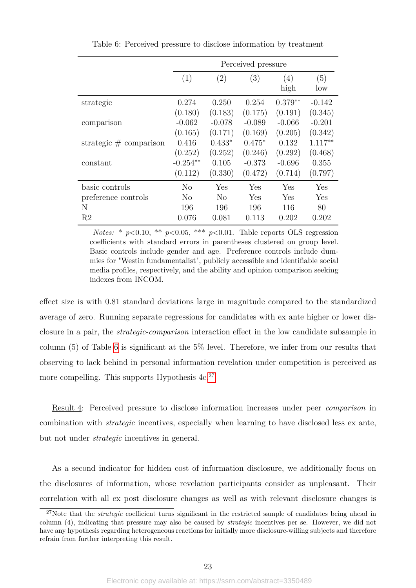<span id="page-25-0"></span>

|                          | Perceived pressure |          |          |             |            |  |  |  |
|--------------------------|--------------------|----------|----------|-------------|------------|--|--|--|
|                          | (1)                | (2)      | (3)      | (4)<br>high | (5)<br>low |  |  |  |
| strategic                | 0.274              | 0.250    | 0.254    | $0.379**$   | $-0.142$   |  |  |  |
|                          | (0.180)            | (0.183)  | (0.175)  | (0.191)     | (0.345)    |  |  |  |
| comparison               | $-0.062$           | $-0.078$ | $-0.089$ | $-0.066$    | $-0.201$   |  |  |  |
|                          | (0.165)            | (0.171)  | (0.169)  | (0.205)     | (0.342)    |  |  |  |
| strategic $#$ comparison | 0.416              | $0.433*$ | $0.475*$ | 0.132       | $1.117**$  |  |  |  |
|                          | (0.252)            | (0.252)  | (0.246)  | (0.292)     | (0.468)    |  |  |  |
| constant                 | $-0.254**$         | 0.105    | $-0.373$ | $-0.696$    | 0.355      |  |  |  |
|                          | (0.112)            | (0.330)  | (0.472)  | (0.714)     | (0.797)    |  |  |  |
| basic controls           | No                 | Yes      | Yes      | Yes         | Yes        |  |  |  |
| preference controls      | $\rm No$           | $\rm No$ | Yes      | Yes         | Yes        |  |  |  |
| N                        | 196                | 196      | 196      | 116         | 80         |  |  |  |
| R <sub>2</sub>           | 0.076              | 0.081    | 0.113    | 0.202       | 0.202      |  |  |  |

Table 6: Perceived pressure to disclose information by treatment

*Notes:* \*  $p<0.10$ , \*\*  $p<0.05$ , \*\*\*  $p<0.01$ . Table reports OLS regression coefficients with standard errors in parentheses clustered on group level. Basic controls include gender and age. Preference controls include dummies for "Westin fundamentalist", publicly accessible and identifiable social media profiles, respectively, and the ability and opinion comparison seeking indexes from INCOM.

effect size is with 0.81 standard deviations large in magnitude compared to the standardized average of zero. Running separate regressions for candidates with ex ante higher or lower disclosure in a pair, the *strategic-comparison* interaction effect in the low candidate subsample in column (5) of Table [6](#page-25-0) is significant at the 5% level. Therefore, we infer from our results that observing to lack behind in personal information revelation under competition is perceived as more compelling. This supports Hypothesis  $4c^{27}$  $4c^{27}$  $4c^{27}$ 

Result 4: Perceived pressure to disclose information increases under peer *comparison* in combination with *strategic* incentives, especially when learning to have disclosed less ex ante, but not under *strategic* incentives in general.

As a second indicator for hidden cost of information disclosure, we additionally focus on the disclosures of information, whose revelation participants consider as unpleasant. Their correlation with all ex post disclosure changes as well as with relevant disclosure changes is

<span id="page-25-1"></span><sup>&</sup>lt;sup>27</sup>Note that the *strategic* coefficient turns significant in the restricted sample of candidates being ahead in column (4), indicating that pressure may also be caused by *strategic* incentives per se. However, we did not have any hypothesis regarding heterogeneous reactions for initially more disclosure-willing subjects and therefore refrain from further interpreting this result.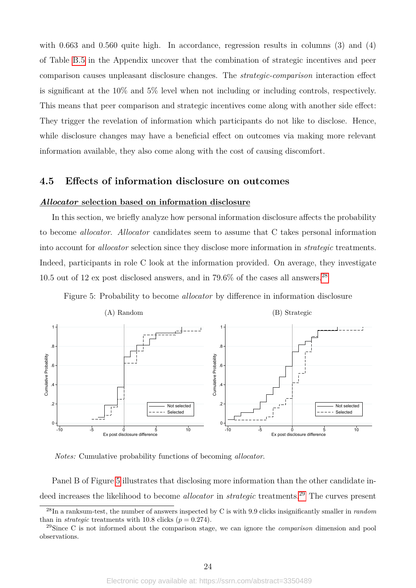with 0.663 and 0.560 quite high. In accordance, regression results in columns (3) and (4) of Table [B.5](#page-49-0) in the Appendix uncover that the combination of strategic incentives and peer comparison causes unpleasant disclosure changes. The *strategic-comparison* interaction effect is significant at the 10% and 5% level when not including or including controls, respectively. This means that peer comparison and strategic incentives come along with another side effect: They trigger the revelation of information which participants do not like to disclose. Hence, while disclosure changes may have a beneficial effect on outcomes via making more relevant information available, they also come along with the cost of causing discomfort.

### **4.5 Effects of information disclosure on outcomes**

#### *Allocator* **selection based on information disclosure**

In this section, we briefly analyze how personal information disclosure affects the probability to become *allocator*. *Allocator* candidates seem to assume that C takes personal information into account for *allocator* selection since they disclose more information in *strategic* treatments. Indeed, participants in role C look at the information provided. On average, they investigate 10.5 out of 12 ex post disclosed answers, and in  $79.6\%$  of the cases all answers.<sup>[28](#page-26-0)</sup>

Figure 5: Probability to become *allocator* by difference in information disclosure

<span id="page-26-1"></span>

*Notes:* Cumulative probability functions of becoming *allocator*.

Panel B of Figure [5](#page-26-1) illustrates that disclosing more information than the other candidate indeed increases the likelihood to become *allocator* in *strategic* treatments.[29](#page-26-2) The curves present

<span id="page-26-0"></span><sup>28</sup>In a ranksum-test, the number of answers inspected by C is with 9.9 clicks insignificantly smaller in *random* than in *strategic* treatments with 10.8 clicks ( $p = 0.274$ ).

<span id="page-26-2"></span><sup>29</sup>Since C is not informed about the comparison stage, we can ignore the *comparison* dimension and pool observations.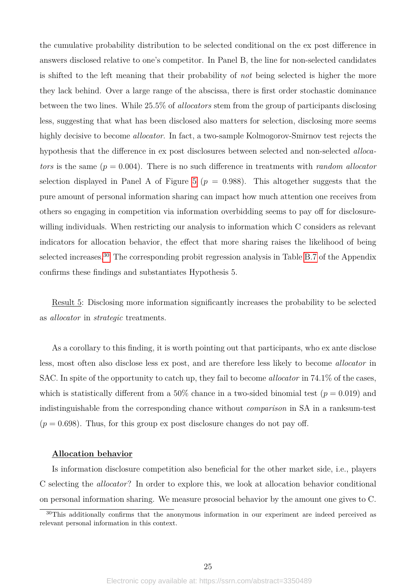the cumulative probability distribution to be selected conditional on the ex post difference in answers disclosed relative to one's competitor. In Panel B, the line for non-selected candidates is shifted to the left meaning that their probability of *not* being selected is higher the more they lack behind. Over a large range of the abscissa, there is first order stochastic dominance between the two lines. While 25.5% of *allocators* stem from the group of participants disclosing less, suggesting that what has been disclosed also matters for selection, disclosing more seems highly decisive to become *allocator*. In fact, a two-sample Kolmogorov-Smirnov test rejects the hypothesis that the difference in ex post disclosures between selected and non-selected *allocators* is the same (*p* = 0*.*004). There is no such difference in treatments with *random allocator* selection displayed in Panel A of Figure [5](#page-26-1) ( $p = 0.988$ ). This altogether suggests that the pure amount of personal information sharing can impact how much attention one receives from others so engaging in competition via information overbidding seems to pay off for disclosurewilling individuals. When restricting our analysis to information which C considers as relevant indicators for allocation behavior, the effect that more sharing raises the likelihood of being selected increases.<sup>[30](#page-27-0)</sup> The corresponding probit regression analysis in Table [B.7](#page-51-0) of the Appendix confirms these findings and substantiates Hypothesis 5.

Result 5: Disclosing more information significantly increases the probability to be selected as *allocator* in *strategic* treatments.

As a corollary to this finding, it is worth pointing out that participants, who ex ante disclose less, most often also disclose less ex post, and are therefore less likely to become *allocator* in SAC. In spite of the opportunity to catch up, they fail to become *allocator* in 74.1% of the cases, which is statistically different from a 50% chance in a two-sided binomial test ( $p = 0.019$ ) and indistinguishable from the corresponding chance without *comparison* in SA in a ranksum-test  $(p = 0.698)$ . Thus, for this group ex post disclosure changes do not pay off.

#### **Allocation behavior**

Is information disclosure competition also beneficial for the other market side, i.e., players C selecting the *allocator*? In order to explore this, we look at allocation behavior conditional on personal information sharing. We measure prosocial behavior by the amount one gives to C.

<span id="page-27-0"></span><sup>&</sup>lt;sup>30</sup>This additionally confirms that the anonymous information in our experiment are indeed perceived as relevant personal information in this context.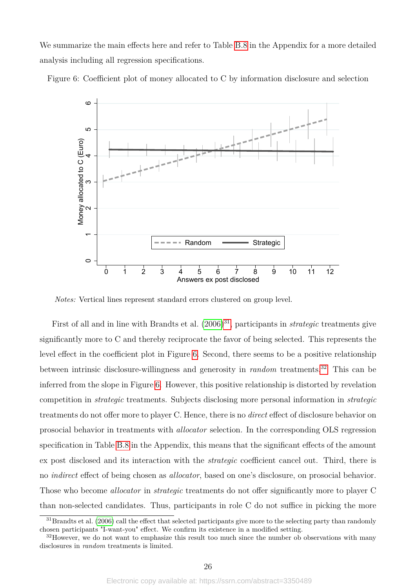We summarize the main effects here and refer to Table [B.8](#page-53-0) in the Appendix for a more detailed analysis including all regression specifications.



<span id="page-28-1"></span>Figure 6: Coefficient plot of money allocated to C by information disclosure and selection

*Notes:* Vertical lines represent standard errors clustered on group level.

First of all and in line with Brandts et al.  $(2006)^{31}$  $(2006)^{31}$  $(2006)^{31}$  $(2006)^{31}$ , participants in *strategic* treatments give significantly more to C and thereby reciprocate the favor of being selected. This represents the level effect in the coefficient plot in Figure [6.](#page-28-1) Second, there seems to be a positive relationship between intrinsic disclosure-willingness and generosity in *random* treatments.[32](#page-28-2) This can be inferred from the slope in Figure [6.](#page-28-1) However, this positive relationship is distorted by revelation competition in *strategic* treatments. Subjects disclosing more personal information in *strategic* treatments do not offer more to player C. Hence, there is no *direct* effect of disclosure behavior on prosocial behavior in treatments with *allocator* selection. In the corresponding OLS regression specification in Table [B.8](#page-53-0) in the Appendix, this means that the significant effects of the amount ex post disclosed and its interaction with the *strategic* coefficient cancel out. Third, there is no *indirect* effect of being chosen as *allocator*, based on one's disclosure, on prosocial behavior. Those who become *allocator* in *strategic* treatments do not offer significantly more to player C than non-selected candidates. Thus, participants in role C do not suffice in picking the more

<span id="page-28-0"></span><sup>&</sup>lt;sup>31</sup>Brandts et al. [\(2006\)](#page-36-3) call the effect that selected participants give more to the selecting party than randomly chosen participants "I-want-you" effect. We confirm its existence in a modified setting.

<span id="page-28-2"></span> $32$ However, we do not want to emphasize this result too much since the number ob observations with many disclosures in *random* treatments is limited.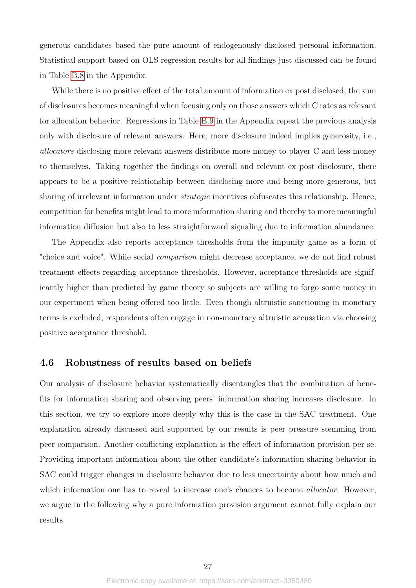generous candidates based the pure amount of endogenously disclosed personal information. Statistical support based on OLS regression results for all findings just discussed can be found in Table [B.8](#page-53-0) in the Appendix.

While there is no positive effect of the total amount of information ex post disclosed, the sum of disclosures becomes meaningful when focusing only on those answers which C rates as relevant for allocation behavior. Regressions in Table [B.9](#page-54-0) in the Appendix repeat the previous analysis only with disclosure of relevant answers. Here, more disclosure indeed implies generosity, i.e., *allocators* disclosing more relevant answers distribute more money to player C and less money to themselves. Taking together the findings on overall and relevant ex post disclosure, there appears to be a positive relationship between disclosing more and being more generous, but sharing of irrelevant information under *strategic* incentives obfuscates this relationship. Hence, competition for benefits might lead to more information sharing and thereby to more meaningful information diffusion but also to less straightforward signaling due to information abundance.

The Appendix also reports acceptance thresholds from the impunity game as a form of "choice and voice". While social *comparison* might decrease acceptance, we do not find robust treatment effects regarding acceptance thresholds. However, acceptance thresholds are significantly higher than predicted by game theory so subjects are willing to forgo some money in our experiment when being offered too little. Even though altruistic sanctioning in monetary terms is excluded, respondents often engage in non-monetary altruistic accusation via choosing positive acceptance threshold.

### **4.6 Robustness of results based on beliefs**

Our analysis of disclosure behavior systematically disentangles that the combination of benefits for information sharing and observing peers' information sharing increases disclosure. In this section, we try to explore more deeply why this is the case in the SAC treatment. One explanation already discussed and supported by our results is peer pressure stemming from peer comparison. Another conflicting explanation is the effect of information provision per se. Providing important information about the other candidate's information sharing behavior in SAC could trigger changes in disclosure behavior due to less uncertainty about how much and which information one has to reveal to increase one's chances to become *allocator*. However, we argue in the following why a pure information provision argument cannot fully explain our results.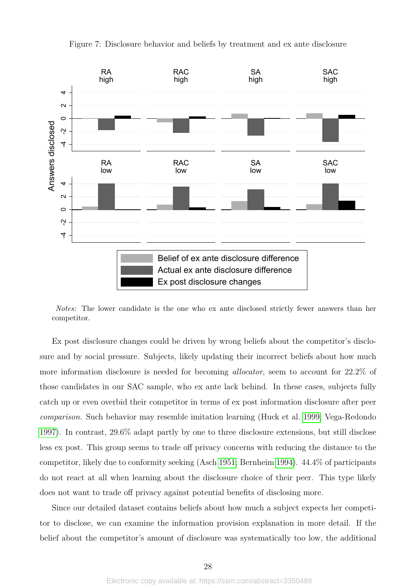<span id="page-30-0"></span>

Figure 7: Disclosure behavior and beliefs by treatment and ex ante disclosure

*Notes:* The lower candidate is the one who ex ante disclosed strictly fewer answers than her competitor.

Ex post disclosure changes could be driven by wrong beliefs about the competitor's disclosure and by social pressure. Subjects, likely updating their incorrect beliefs about how much more information disclosure is needed for becoming *allocator*, seem to account for 22.2% of those candidates in our SAC sample, who ex ante lack behind. In these cases, subjects fully catch up or even overbid their competitor in terms of ex post information disclosure after peer *comparison*. Such behavior may resemble imitation learning (Huck et al. [1999;](#page-38-13) Vega-Redondo [1997\)](#page-40-3). In contrast, 29.6% adapt partly by one to three disclosure extensions, but still disclose less ex post. This group seems to trade off privacy concerns with reducing the distance to the competitor, likely due to conformity seeking (Asch [1951;](#page-35-7) Bernheim [1994\)](#page-35-8). 44.4% of participants do not react at all when learning about the disclosure choice of their peer. This type likely does not want to trade off privacy against potential benefits of disclosing more.

Since our detailed dataset contains beliefs about how much a subject expects her competitor to disclose, we can examine the information provision explanation in more detail. If the belief about the competitor's amount of disclosure was systematically too low, the additional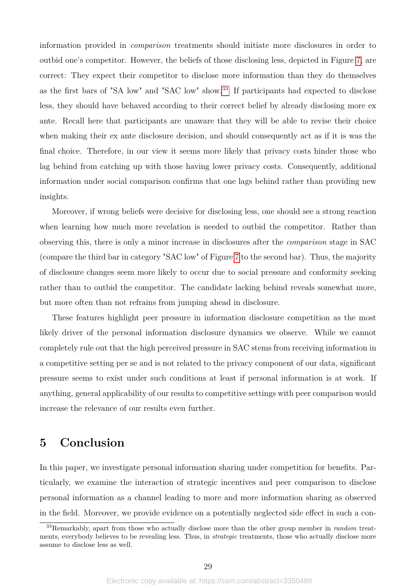information provided in *comparison* treatments should initiate more disclosures in order to outbid one's competitor. However, the beliefs of those disclosing less, depicted in Figure [7,](#page-30-0) are correct: They expect their competitor to disclose more information than they do themselves as the first bars of "SA low" and "SAC low" show.[33](#page-31-0) If participants had expected to disclose less, they should have behaved according to their correct belief by already disclosing more ex ante. Recall here that participants are unaware that they will be able to revise their choice when making their ex ante disclosure decision, and should consequently act as if it is was the final choice. Therefore, in our view it seems more likely that privacy costs hinder those who lag behind from catching up with those having lower privacy costs. Consequently, additional information under social comparison confirms that one lags behind rather than providing new insights.

Moreover, if wrong beliefs were decisive for disclosing less, one should see a strong reaction when learning how much more revelation is needed to outbid the competitor. Rather than observing this, there is only a minor increase in disclosures after the *comparison* stage in SAC (compare the third bar in category "SAC low" of Figure [7](#page-30-0) to the second bar). Thus, the majority of disclosure changes seem more likely to occur due to social pressure and conformity seeking rather than to outbid the competitor. The candidate lacking behind reveals somewhat more, but more often than not refrains from jumping ahead in disclosure.

These features highlight peer pressure in information disclosure competition as the most likely driver of the personal information disclosure dynamics we observe. While we cannot completely rule out that the high perceived pressure in SAC stems from receiving information in a competitive setting per se and is not related to the privacy component of our data, significant pressure seems to exist under such conditions at least if personal information is at work. If anything, general applicability of our results to competitive settings with peer comparison would increase the relevance of our results even further.

# **5 Conclusion**

In this paper, we investigate personal information sharing under competition for benefits. Particularly, we examine the interaction of strategic incentives and peer comparison to disclose personal information as a channel leading to more and more information sharing as observed in the field. Moreover, we provide evidence on a potentially neglected side effect in such a con-

<span id="page-31-0"></span><sup>33</sup>Remarkably, apart from those who actually disclose more than the other group member in *random* treatments, everybody believes to be revealing less. Thus, in *strategic* treatments, those who actually disclose more assume to disclose less as well.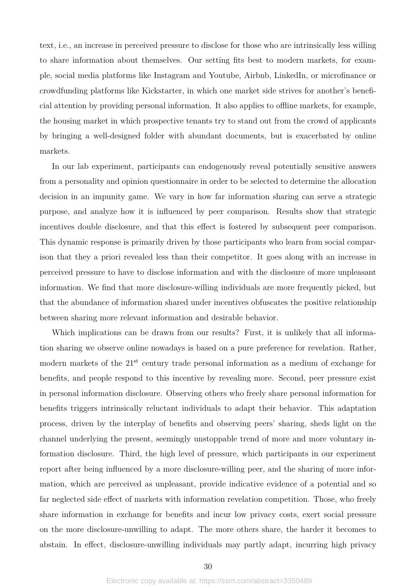text, i.e., an increase in perceived pressure to disclose for those who are intrinsically less willing to share information about themselves. Our setting fits best to modern markets, for example, social media platforms like Instagram and Youtube, Airbnb, LinkedIn, or microfinance or crowdfunding platforms like Kickstarter, in which one market side strives for another's beneficial attention by providing personal information. It also applies to offline markets, for example, the housing market in which prospective tenants try to stand out from the crowd of applicants by bringing a well-designed folder with abundant documents, but is exacerbated by online markets.

In our lab experiment, participants can endogenously reveal potentially sensitive answers from a personality and opinion questionnaire in order to be selected to determine the allocation decision in an impunity game. We vary in how far information sharing can serve a strategic purpose, and analyze how it is influenced by peer comparison. Results show that strategic incentives double disclosure, and that this effect is fostered by subsequent peer comparison. This dynamic response is primarily driven by those participants who learn from social comparison that they a priori revealed less than their competitor. It goes along with an increase in perceived pressure to have to disclose information and with the disclosure of more unpleasant information. We find that more disclosure-willing individuals are more frequently picked, but that the abundance of information shared under incentives obfuscates the positive relationship between sharing more relevant information and desirable behavior.

Which implications can be drawn from our results? First, it is unlikely that all information sharing we observe online nowadays is based on a pure preference for revelation. Rather, modern markets of the 21<sup>st</sup> century trade personal information as a medium of exchange for benefits, and people respond to this incentive by revealing more. Second, peer pressure exist in personal information disclosure. Observing others who freely share personal information for benefits triggers intrinsically reluctant individuals to adapt their behavior. This adaptation process, driven by the interplay of benefits and observing peers' sharing, sheds light on the channel underlying the present, seemingly unstoppable trend of more and more voluntary information disclosure. Third, the high level of pressure, which participants in our experiment report after being influenced by a more disclosure-willing peer, and the sharing of more information, which are perceived as unpleasant, provide indicative evidence of a potential and so far neglected side effect of markets with information revelation competition. Those, who freely share information in exchange for benefits and incur low privacy costs, exert social pressure on the more disclosure-unwilling to adapt. The more others share, the harder it becomes to abstain. In effect, disclosure-unwilling individuals may partly adapt, incurring high privacy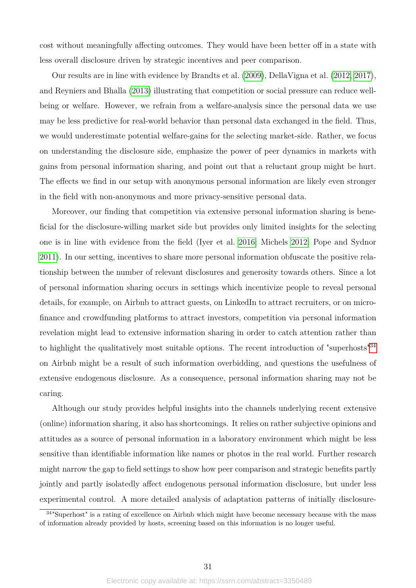cost without meaningfully affecting outcomes. They would have been better off in a state with less overall disclosure driven by strategic incentives and peer comparison.

Our results are in line with evidence by Brandts et al. [\(2009\)](#page-36-5), DellaVigna et al. [\(2012,](#page-37-1) [2017\)](#page-37-2), and Reyniers and Bhalla [\(2013\)](#page-39-0) illustrating that competition or social pressure can reduce wellbeing or welfare. However, we refrain from a welfare-analysis since the personal data we use may be less predictive for real-world behavior than personal data exchanged in the field. Thus, we would underestimate potential welfare-gains for the selecting market-side. Rather, we focus on understanding the disclosure side, emphasize the power of peer dynamics in markets with gains from personal information sharing, and point out that a reluctant group might be hurt. The effects we find in our setup with anonymous personal information are likely even stronger in the field with non-anonymous and more privacy-sensitive personal data.

Moreover, our finding that competition via extensive personal information sharing is beneficial for the disclosure-willing market side but provides only limited insights for the selecting one is in line with evidence from the field (Iyer et al. [2016;](#page-38-7) Michels [2012;](#page-39-3) Pope and Sydnor [2011\)](#page-39-4). In our setting, incentives to share more personal information obfuscate the positive relationship between the number of relevant disclosures and generosity towards others. Since a lot of personal information sharing occurs in settings which incentivize people to reveal personal details, for example, on Airbnb to attract guests, on LinkedIn to attract recruiters, or on microfinance and crowdfunding platforms to attract investors, competition via personal information revelation might lead to extensive information sharing in order to catch attention rather than to highlight the qualitatively most suitable options. The recent introduction of "superhosts"[34](#page-33-0) on Airbnb might be a result of such information overbidding, and questions the usefulness of extensive endogenous disclosure. As a consequence, personal information sharing may not be caring.

Although our study provides helpful insights into the channels underlying recent extensive (online) information sharing, it also has shortcomings. It relies on rather subjective opinions and attitudes as a source of personal information in a laboratory environment which might be less sensitive than identifiable information like names or photos in the real world. Further research might narrow the gap to field settings to show how peer comparison and strategic benefits partly jointly and partly isolatedly affect endogenous personal information disclosure, but under less experimental control. A more detailed analysis of adaptation patterns of initially disclosure-

<span id="page-33-0"></span><sup>&</sup>lt;sup>34</sup>"Superhost" is a rating of excellence on Airbnb which might have become necessary because with the mass of information already provided by hosts, screening based on this information is no longer useful.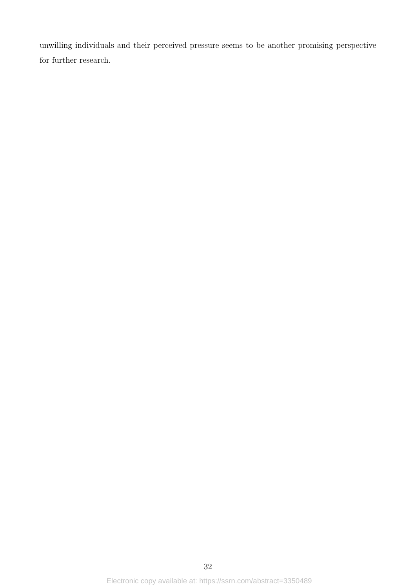unwilling individuals and their perceived pressure seems to be another promising perspective for further research.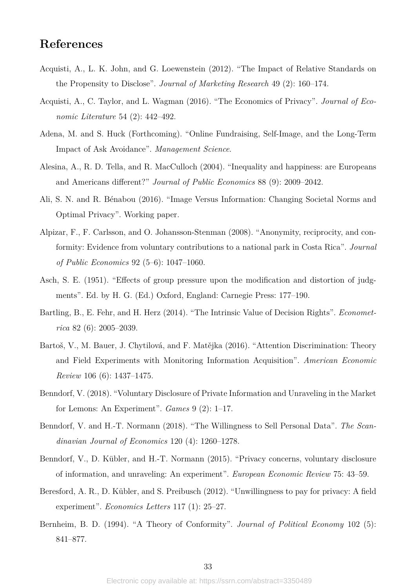# **References**

- <span id="page-35-0"></span>Acquisti, A., L. K. John, and G. Loewenstein (2012). "The Impact of Relative Standards on the Propensity to Disclose". *Journal of Marketing Research* 49 (2): 160–174.
- <span id="page-35-5"></span>Acquisti, A., C. Taylor, and L. Wagman (2016). "The Economics of Privacy". *Journal of Economic Literature* 54 (2): 442–492.
- <span id="page-35-10"></span>Adena, M. and S. Huck (Forthcoming). "Online Fundraising, Self-Image, and the Long-Term Impact of Ask Avoidance". *Management Science*.
- <span id="page-35-11"></span>Alesina, A., R. D. Tella, and R. MacCulloch (2004). "Inequality and happiness: are Europeans and Americans different?" *Journal of Public Economics* 88 (9): 2009–2042.
- Ali, S. N. and R. Bénabou (2016). "Image Versus Information: Changing Societal Norms and Optimal Privacy". Working paper.
- <span id="page-35-9"></span>Alpizar, F., F. Carlsson, and O. Johansson-Stenman (2008). "Anonymity, reciprocity, and conformity: Evidence from voluntary contributions to a national park in Costa Rica". *Journal of Public Economics* 92 (5–6): 1047–1060.
- <span id="page-35-7"></span>Asch, S. E. (1951). "Effects of group pressure upon the modification and distortion of judgments". Ed. by H. G. (Ed.) Oxford, England: Carnegie Press: 177–190.
- <span id="page-35-12"></span>Bartling, B., E. Fehr, and H. Herz (2014). "The Intrinsic Value of Decision Rights". *Econometrica* 82 (6): 2005–2039.
- <span id="page-35-2"></span>Bartoš, V., M. Bauer, J. Chytilová, and F. Matějka (2016). "Attention Discrimination: Theory and Field Experiments with Monitoring Information Acquisition". *American Economic Review* 106 (6): 1437–1475.
- <span id="page-35-6"></span>Benndorf, V. (2018). "Voluntary Disclosure of Private Information and Unraveling in the Market for Lemons: An Experiment". *Games* 9 (2): 1–17.
- <span id="page-35-3"></span>Benndorf, V. and H.-T. Normann (2018). "The Willingness to Sell Personal Data". *The Scandinavian Journal of Economics* 120 (4): 1260–1278.
- <span id="page-35-1"></span>Benndorf, V., D. Kübler, and H.-T. Normann (2015). "Privacy concerns, voluntary disclosure of information, and unraveling: An experiment". *European Economic Review* 75: 43–59.
- <span id="page-35-4"></span>Beresford, A. R., D. Kübler, and S. Preibusch (2012). "Unwillingness to pay for privacy: A field experiment". *Economics Letters* 117 (1): 25–27.
- <span id="page-35-8"></span>Bernheim, B. D. (1994). "A Theory of Conformity". *Journal of Political Economy* 102 (5): 841–877.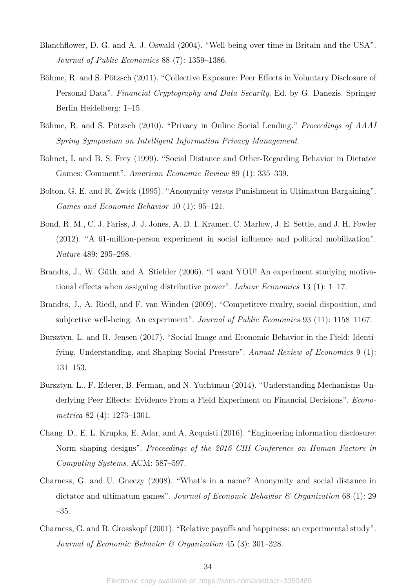- <span id="page-36-11"></span>Blanchflower, D. G. and A. J. Oswald (2004). "Well-being over time in Britain and the USA". *Journal of Public Economics* 88 (7): 1359–1386.
- <span id="page-36-0"></span>Böhme, R. and S. Pötzsch (2011). "Collective Exposure: Peer Effects in Voluntary Disclosure of Personal Data". *Financial Cryptography and Data Security*. Ed. by G. Danezis. Springer Berlin Heidelberg: 1–15.
- <span id="page-36-6"></span>Böhme, R. and S. Pötzsch (2010). "Privacy in Online Social Lending." *Proceedings of AAAI Spring Symposium on Intelligent Information Privacy Management*.
- <span id="page-36-2"></span>Bohnet, I. and B. S. Frey (1999). "Social Distance and Other-Regarding Behavior in Dictator Games: Comment". *American Economic Review* 89 (1): 335–339.
- <span id="page-36-10"></span>Bolton, G. E. and R. Zwick (1995). "Anonymity versus Punishment in Ultimatum Bargaining". *Games and Economic Behavior* 10 (1): 95–121.
- <span id="page-36-7"></span>Bond, R. M., C. J. Fariss, J. J. Jones, A. D. I. Kramer, C. Marlow, J. E. Settle, and J. H. Fowler (2012). "A 61-million-person experiment in social influence and political mobilization". *Nature* 489: 295–298.
- <span id="page-36-3"></span>Brandts, J., W. Güth, and A. Stiehler (2006). "I want YOU! An experiment studying motivational effects when assigning distributive power". *Labour Economics* 13 (1): 1–17.
- <span id="page-36-5"></span>Brandts, J., A. Riedl, and F. van Winden (2009). "Competitive rivalry, social disposition, and subjective well-being: An experiment". *Journal of Public Economics* 93 (11): 1158–1167.
- <span id="page-36-9"></span>Bursztyn, L. and R. Jensen (2017). "Social Image and Economic Behavior in the Field: Identifying, Understanding, and Shaping Social Pressure". *Annual Review of Economics* 9 (1): 131–153.
- <span id="page-36-8"></span>Bursztyn, L., F. Ederer, B. Ferman, and N. Yuchtman (2014). "Understanding Mechanisms Underlying Peer Effects: Evidence From a Field Experiment on Financial Decisions". *Econometrica* 82 (4): 1273–1301.
- <span id="page-36-1"></span>Chang, D., E. L. Krupka, E. Adar, and A. Acquisti (2016). "Engineering information disclosure: Norm shaping designs". *Proceedings of the 2016 CHI Conference on Human Factors in Computing Systems*. ACM: 587–597.
- <span id="page-36-4"></span>Charness, G. and U. Gneezy (2008). "What's in a name? Anonymity and social distance in dictator and ultimatum games". *Journal of Economic Behavior & Organization* 68 (1): 29 –35.
- <span id="page-36-12"></span>Charness, G. and B. Grosskopf (2001). "Relative payoffs and happiness: an experimental study". *Journal of Economic Behavior & Organization* 45 (3): 301–328.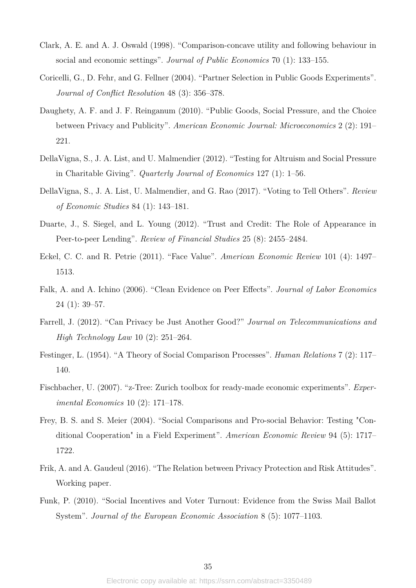- <span id="page-37-6"></span>Clark, A. E. and A. J. Oswald (1998). "Comparison-concave utility and following behaviour in social and economic settings". *Journal of Public Economics* 70 (1): 133–155.
- <span id="page-37-4"></span>Coricelli, G., D. Fehr, and G. Fellner (2004). "Partner Selection in Public Goods Experiments". *Journal of Conflict Resolution* 48 (3): 356–378.
- <span id="page-37-11"></span>Daughety, A. F. and J. F. Reinganum (2010). "Public Goods, Social Pressure, and the Choice between Privacy and Publicity". *American Economic Journal: Microeconomics* 2 (2): 191– 221.
- <span id="page-37-1"></span>DellaVigna, S., J. A. List, and U. Malmendier (2012). "Testing for Altruism and Social Pressure in Charitable Giving". *Quarterly Journal of Economics* 127 (1): 1–56.
- <span id="page-37-2"></span>DellaVigna, S., J. A. List, U. Malmendier, and G. Rao (2017). "Voting to Tell Others". *Review of Economic Studies* 84 (1): 143–181.
- <span id="page-37-5"></span>Duarte, J., S. Siegel, and L. Young (2012). "Trust and Credit: The Role of Appearance in Peer-to-peer Lending". *Review of Financial Studies* 25 (8): 2455–2484.
- <span id="page-37-0"></span>Eckel, C. C. and R. Petrie (2011). "Face Value". *American Economic Review* 101 (4): 1497– 1513.
- <span id="page-37-9"></span>Falk, A. and A. Ichino (2006). "Clean Evidence on Peer Effects". *Journal of Labor Economics* 24 (1): 39–57.
- <span id="page-37-3"></span>Farrell, J. (2012). "Can Privacy be Just Another Good?" *Journal on Telecommunications and High Technology Law* 10 (2): 251–264.
- <span id="page-37-7"></span>Festinger, L. (1954). "A Theory of Social Comparison Processes". *Human Relations* 7 (2): 117– 140.
- <span id="page-37-13"></span>Fischbacher, U. (2007). "z-Tree: Zurich toolbox for ready-made economic experiments". *Experimental Economics* 10 (2): 171–178.
- <span id="page-37-8"></span>Frey, B. S. and S. Meier (2004). "Social Comparisons and Pro-social Behavior: Testing "Conditional Cooperation" in a Field Experiment". *American Economic Review* 94 (5): 1717– 1722.
- <span id="page-37-12"></span>Frik, A. and A. Gaudeul (2016). "The Relation between Privacy Protection and Risk Attitudes". Working paper.
- <span id="page-37-10"></span>Funk, P. (2010). "Social Incentives and Voter Turnout: Evidence from the Swiss Mail Ballot System". *Journal of the European Economic Association* 8 (5): 1077–1103.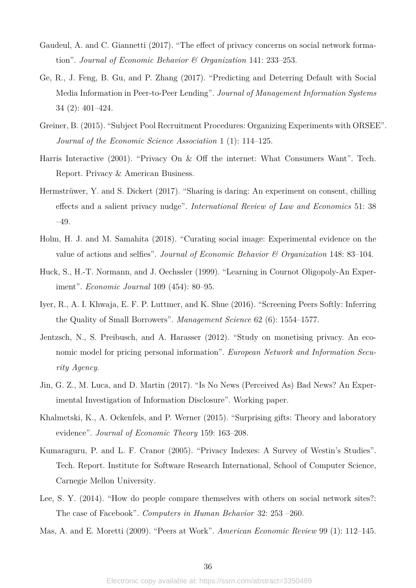- <span id="page-38-3"></span>Gaudeul, A. and C. Giannetti (2017). "The effect of privacy concerns on social network formation". *Journal of Economic Behavior & Organization* 141: 233–253.
- <span id="page-38-6"></span>Ge, R., J. Feng, B. Gu, and P. Zhang (2017). "Predicting and Deterring Default with Social Media Information in Peer-to-Peer Lending". *Journal of Management Information Systems* 34 (2): 401–424.
- <span id="page-38-11"></span>Greiner, B. (2015). "Subject Pool Recruitment Procedures: Organizing Experiments with ORSEE". *Journal of the Economic Science Association* 1 (1): 114–125.
- <span id="page-38-10"></span>Harris Interactive (2001). "Privacy On & Off the internet: What Consumers Want". Tech. Report. Privacy & American Business.
- <span id="page-38-1"></span>Hermstrüwer, Y. and S. Dickert (2017). "Sharing is daring: An experiment on consent, chilling effects and a salient privacy nudge". *International Review of Law and Economics* 51: 38 –49.
- <span id="page-38-2"></span>Holm, H. J. and M. Samahita (2018). "Curating social image: Experimental evidence on the value of actions and selfies". *Journal of Economic Behavior & Organization* 148: 83–104.
- <span id="page-38-13"></span>Huck, S., H.-T. Normann, and J. Oechssler (1999). "Learning in Cournot Oligopoly-An Experiment". *Economic Journal* 109 (454): 80–95.
- <span id="page-38-7"></span>Iyer, R., A. I. Khwaja, E. F. P. Luttmer, and K. Shue (2016). "Screening Peers Softly: Inferring the Quality of Small Borrowers". *Management Science* 62 (6): 1554–1577.
- <span id="page-38-4"></span>Jentzsch, N., S. Preibusch, and A. Harasser (2012). "Study on monetising privacy. An economic model for pricing personal information". *European Network and Information Security Agency*.
- <span id="page-38-5"></span>Jin, G. Z., M. Luca, and D. Martin (2017). "Is No News (Perceived As) Bad News? An Experimental Investigation of Information Disclosure". Working paper.
- <span id="page-38-9"></span>Khalmetski, K., A. Ockenfels, and P. Werner (2015). "Surprising gifts: Theory and laboratory evidence". *Journal of Economic Theory* 159: 163–208.
- <span id="page-38-12"></span>Kumaraguru, P. and L. F. Cranor (2005). "Privacy Indexes: A Survey of Westin's Studies". Tech. Report. Institute for Software Research International, School of Computer Science, Carnegie Mellon University.
- <span id="page-38-0"></span>Lee, S. Y. (2014). "How do people compare themselves with others on social network sites?: The case of Facebook". *Computers in Human Behavior* 32: 253 –260.

<span id="page-38-8"></span>Mas, A. and E. Moretti (2009). "Peers at Work". *American Economic Review* 99 (1): 112–145.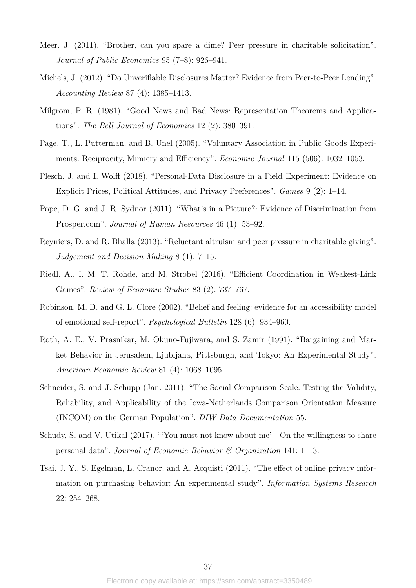- <span id="page-39-9"></span>Meer, J. (2011). "Brother, can you spare a dime? Peer pressure in charitable solicitation". *Journal of Public Economics* 95 (7–8): 926–941.
- <span id="page-39-3"></span>Michels, J. (2012). "Do Unverifiable Disclosures Matter? Evidence from Peer-to-Peer Lending". *Accounting Review* 87 (4): 1385–1413.
- <span id="page-39-8"></span>Milgrom, P. R. (1981). "Good News and Bad News: Representation Theorems and Applications". *The Bell Journal of Economics* 12 (2): 380–391.
- <span id="page-39-5"></span>Page, T., L. Putterman, and B. Unel (2005). "Voluntary Association in Public Goods Experiments: Reciprocity, Mimicry and Efficiency". *Economic Journal* 115 (506): 1032–1053.
- <span id="page-39-2"></span>Plesch, J. and I. Wolff (2018). "Personal-Data Disclosure in a Field Experiment: Evidence on Explicit Prices, Political Attitudes, and Privacy Preferences". *Games* 9 (2): 1–14.
- <span id="page-39-4"></span>Pope, D. G. and J. R. Sydnor (2011). "What's in a Picture?: Evidence of Discrimination from Prosper.com". *Journal of Human Resources* 46 (1): 53–92.
- <span id="page-39-0"></span>Reyniers, D. and R. Bhalla (2013). "Reluctant altruism and peer pressure in charitable giving". *Judgement and Decision Making* 8 (1): 7–15.
- <span id="page-39-6"></span>Riedl, A., I. M. T. Rohde, and M. Strobel (2016). "Efficient Coordination in Weakest-Link Games". *Review of Economic Studies* 83 (2): 737–767.
- <span id="page-39-11"></span>Robinson, M. D. and G. L. Clore (2002). "Belief and feeling: evidence for an accessibility model of emotional self-report". *Psychological Bulletin* 128 (6): 934–960.
- <span id="page-39-7"></span>Roth, A. E., V. Prasnikar, M. Okuno-Fujiwara, and S. Zamir (1991). "Bargaining and Market Behavior in Jerusalem, Ljubljana, Pittsburgh, and Tokyo: An Experimental Study". *American Economic Review* 81 (4): 1068–1095.
- <span id="page-39-12"></span>Schneider, S. and J. Schupp (Jan. 2011). "The Social Comparison Scale: Testing the Validity, Reliability, and Applicability of the Iowa-Netherlands Comparison Orientation Measure (INCOM) on the German Population". *DIW Data Documentation* 55.
- <span id="page-39-10"></span>Schudy, S. and V. Utikal (2017). "'You must not know about me'—On the willingness to share personal data". *Journal of Economic Behavior & Organization* 141: 1–13.
- <span id="page-39-1"></span>Tsai, J. Y., S. Egelman, L. Cranor, and A. Acquisti (2011). "The effect of online privacy information on purchasing behavior: An experimental study". *Information Systems Research* 22: 254–268.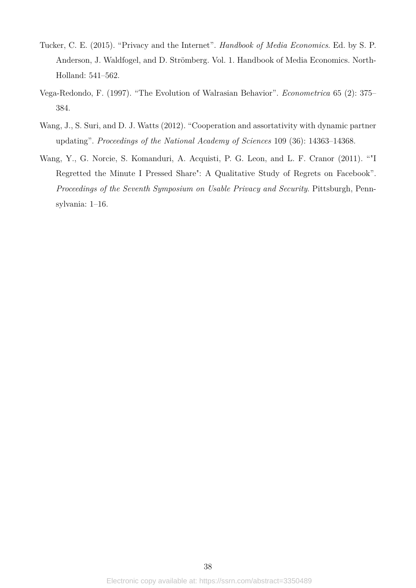- <span id="page-40-1"></span>Tucker, C. E. (2015). "Privacy and the Internet". *Handbook of Media Economics*. Ed. by S. P. Anderson, J. Waldfogel, and D. Strömberg. Vol. 1. Handbook of Media Economics. North-Holland: 541–562.
- <span id="page-40-3"></span>Vega-Redondo, F. (1997). "The Evolution of Walrasian Behavior". *Econometrica* 65 (2): 375– 384.
- <span id="page-40-2"></span>Wang, J., S. Suri, and D. J. Watts (2012). "Cooperation and assortativity with dynamic partner updating". *Proceedings of the National Academy of Sciences* 109 (36): 14363–14368.
- <span id="page-40-0"></span>Wang, Y., G. Norcie, S. Komanduri, A. Acquisti, P. G. Leon, and L. F. Cranor (2011). ""I Regretted the Minute I Pressed Share": A Qualitative Study of Regrets on Facebook". *Proceedings of the Seventh Symposium on Usable Privacy and Security*. Pittsburgh, Pennsylvania: 1–16.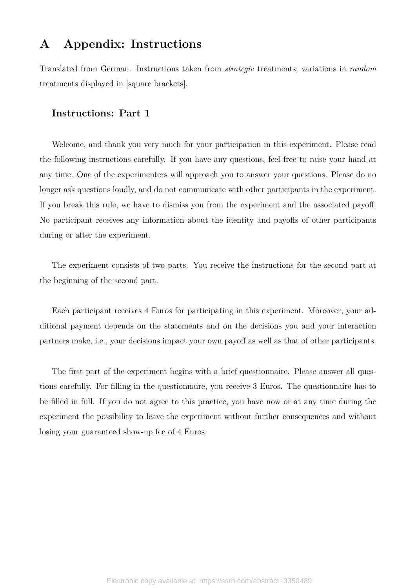# <span id="page-41-0"></span>**A Appendix: Instructions**

Translated from German. Instructions taken from *strategic* treatments; variations in *random* treatments displayed in [square brackets].

### **Instructions: Part 1**

Welcome, and thank you very much for your participation in this experiment. Please read the following instructions carefully. If you have any questions, feel free to raise your hand at any time. One of the experimenters will approach you to answer your questions. Please do no longer ask questions loudly, and do not communicate with other participants in the experiment. If you break this rule, we have to dismiss you from the experiment and the associated payoff. No participant receives any information about the identity and payoffs of other participants during or after the experiment.

The experiment consists of two parts. You receive the instructions for the second part at the beginning of the second part.

Each participant receives 4 Euros for participating in this experiment. Moreover, your additional payment depends on the statements and on the decisions you and your interaction partners make, i.e., your decisions impact your own payoff as well as that of other participants.

The first part of the experiment begins with a brief questionnaire. Please answer all questions carefully. For filling in the questionnaire, you receive 3 Euros. The questionnaire has to be filled in full. If you do not agree to this practice, you have now or at any time during the experiment the possibility to leave the experiment without further consequences and without losing your guaranteed show-up fee of 4 Euros.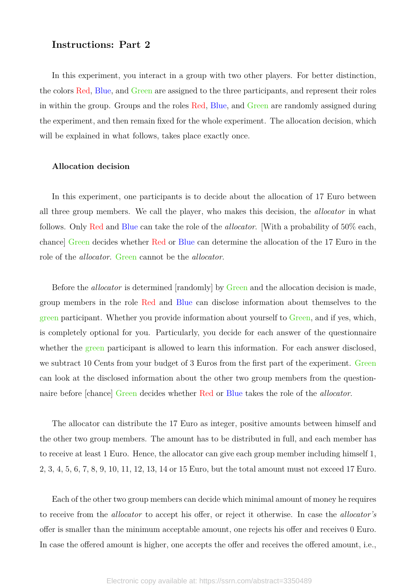### **Instructions: Part 2**

In this experiment, you interact in a group with two other players. For better distinction, the colors Red, Blue, and Green are assigned to the three participants, and represent their roles in within the group. Groups and the roles Red, Blue, and Green are randomly assigned during the experiment, and then remain fixed for the whole experiment. The allocation decision, which will be explained in what follows, takes place exactly once.

#### **Allocation decision**

In this experiment, one participants is to decide about the allocation of 17 Euro between all three group members. We call the player, who makes this decision, the *allocator* in what follows. Only Red and Blue can take the role of the *allocator*. [With a probability of 50% each, chance] Green decides whether Red or Blue can determine the allocation of the 17 Euro in the role of the *allocator*. Green cannot be the *allocator*.

Before the *allocator* is determined [randomly] by Green and the allocation decision is made, group members in the role Red and Blue can disclose information about themselves to the green participant. Whether you provide information about yourself to Green, and if yes, which, is completely optional for you. Particularly, you decide for each answer of the questionnaire whether the green participant is allowed to learn this information. For each answer disclosed, we subtract 10 Cents from your budget of 3 Euros from the first part of the experiment. Green can look at the disclosed information about the other two group members from the questionnaire before [chance] Green decides whether Red or Blue takes the role of the *allocator*.

The allocator can distribute the 17 Euro as integer, positive amounts between himself and the other two group members. The amount has to be distributed in full, and each member has to receive at least 1 Euro. Hence, the allocator can give each group member including himself 1, 2, 3, 4, 5, 6, 7, 8, 9, 10, 11, 12, 13, 14 or 15 Euro, but the total amount must not exceed 17 Euro.

Each of the other two group members can decide which minimal amount of money he requires to receive from the *allocator* to accept his offer, or reject it otherwise. In case the *allocator's* offer is smaller than the minimum acceptable amount, one rejects his offer and receives 0 Euro. In case the offered amount is higher, one accepts the offer and receives the offered amount, i.e.,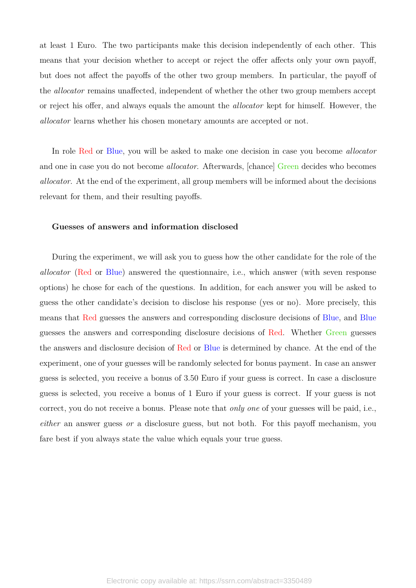at least 1 Euro. The two participants make this decision independently of each other. This means that your decision whether to accept or reject the offer affects only your own payoff, but does not affect the payoffs of the other two group members. In particular, the payoff of the *allocator* remains unaffected, independent of whether the other two group members accept or reject his offer, and always equals the amount the *allocator* kept for himself. However, the *allocator* learns whether his chosen monetary amounts are accepted or not.

In role Red or Blue, you will be asked to make one decision in case you become *allocator* and one in case you do not become *allocator*. Afterwards, [chance] Green decides who becomes *allocator*. At the end of the experiment, all group members will be informed about the decisions relevant for them, and their resulting payoffs.

### **Guesses of answers and information disclosed**

During the experiment, we will ask you to guess how the other candidate for the role of the *allocator* (Red or Blue) answered the questionnaire, i.e., which answer (with seven response options) he chose for each of the questions. In addition, for each answer you will be asked to guess the other candidate's decision to disclose his response (yes or no). More precisely, this means that Red guesses the answers and corresponding disclosure decisions of Blue, and Blue guesses the answers and corresponding disclosure decisions of Red. Whether Green guesses the answers and disclosure decision of Red or Blue is determined by chance. At the end of the experiment, one of your guesses will be randomly selected for bonus payment. In case an answer guess is selected, you receive a bonus of 3.50 Euro if your guess is correct. In case a disclosure guess is selected, you receive a bonus of 1 Euro if your guess is correct. If your guess is not correct, you do not receive a bonus. Please note that *only one* of your guesses will be paid, i.e., *either* an answer guess *or* a disclosure guess, but not both. For this payoff mechanism, you fare best if you always state the value which equals your true guess.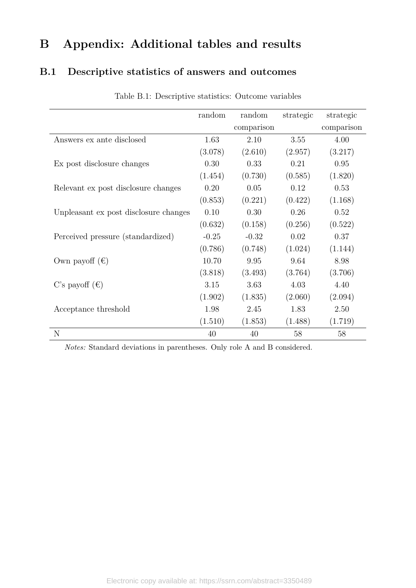# **B Appendix: Additional tables and results**

# **B.1 Descriptive statistics of answers and outcomes**

<span id="page-44-0"></span>

|                                       | random  | random     | strategic | strategic  |
|---------------------------------------|---------|------------|-----------|------------|
|                                       |         | comparison |           | comparison |
| Answers ex ante disclosed             | 1.63    | 2.10       | 3.55      | 4.00       |
|                                       | (3.078) | (2.610)    | (2.957)   | (3.217)    |
| Ex post disclosure changes            | 0.30    | 0.33       | 0.21      | 0.95       |
|                                       | (1.454) | (0.730)    | (0.585)   | (1.820)    |
| Relevant ex post disclosure changes   | 0.20    | 0.05       | 0.12      | 0.53       |
|                                       | (0.853) | (0.221)    | (0.422)   | (1.168)    |
| Unpleasant ex post disclosure changes | 0.10    | 0.30       | 0.26      | 0.52       |
|                                       | (0.632) | (0.158)    | (0.256)   | (0.522)    |
| Perceived pressure (standardized)     | $-0.25$ | $-0.32$    | 0.02      | 0.37       |
|                                       | (0.786) | (0.748)    | (1.024)   | (1.144)    |
| Own payoff $(\epsilon)$               | 10.70   | 9.95       | 9.64      | 8.98       |
|                                       | (3.818) | (3.493)    | (3.764)   | (3.706)    |
| C's payoff $(\epsilon)$               | 3.15    | 3.63       | 4.03      | 4.40       |
|                                       | (1.902) | (1.835)    | (2.060)   | (2.094)    |
| Acceptance threshold                  | 1.98    | 2.45       | 1.83      | 2.50       |
|                                       | (1.510) | (1.853)    | (1.488)   | (1.719)    |
| N                                     | 40      | 40         | 58        | 58         |

Table B.1: Descriptive statistics: Outcome variables

*Notes:* Standard deviations in parentheses. Only role A and B considered.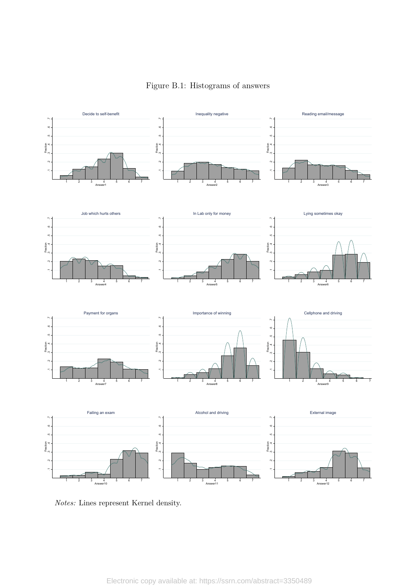<span id="page-45-0"></span>

# Figure B.1: Histograms of answers

*Notes:* Lines represent Kernel density.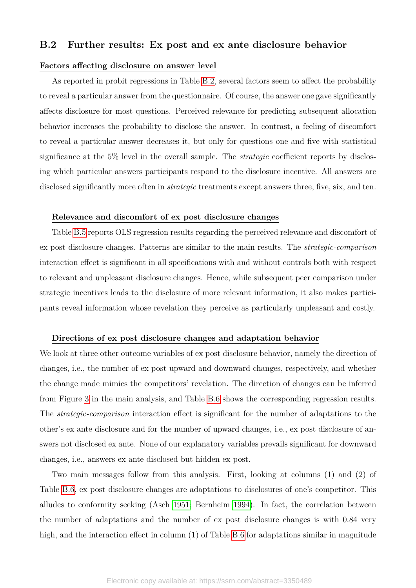### **B.2 Further results: Ex post and ex ante disclosure behavior**

#### **Factors affecting disclosure on answer level**

As reported in probit regressions in Table [B.2,](#page-47-0) several factors seem to affect the probability to reveal a particular answer from the questionnaire. Of course, the answer one gave significantly affects disclosure for most questions. Perceived relevance for predicting subsequent allocation behavior increases the probability to disclose the answer. In contrast, a feeling of discomfort to reveal a particular answer decreases it, but only for questions one and five with statistical significance at the 5% level in the overall sample. The *strategic* coefficient reports by disclosing which particular answers participants respond to the disclosure incentive. All answers are disclosed significantly more often in *strategic* treatments except answers three, five, six, and ten.

#### **Relevance and discomfort of ex post disclosure changes**

Table [B.5](#page-49-0) reports OLS regression results regarding the perceived relevance and discomfort of ex post disclosure changes. Patterns are similar to the main results. The *strategic-comparison* interaction effect is significant in all specifications with and without controls both with respect to relevant and unpleasant disclosure changes. Hence, while subsequent peer comparison under strategic incentives leads to the disclosure of more relevant information, it also makes participants reveal information whose revelation they perceive as particularly unpleasant and costly.

#### **Directions of ex post disclosure changes and adaptation behavior**

We look at three other outcome variables of ex post disclosure behavior, namely the direction of changes, i.e., the number of ex post upward and downward changes, respectively, and whether the change made mimics the competitors' revelation. The direction of changes can be inferred from Figure [3](#page-20-1) in the main analysis, and Table [B.6](#page-49-1) shows the corresponding regression results. The *strategic-comparison* interaction effect is significant for the number of adaptations to the other's ex ante disclosure and for the number of upward changes, i.e., ex post disclosure of answers not disclosed ex ante. None of our explanatory variables prevails significant for downward changes, i.e., answers ex ante disclosed but hidden ex post.

Two main messages follow from this analysis. First, looking at columns (1) and (2) of Table [B.6,](#page-49-1) ex post disclosure changes are adaptations to disclosures of one's competitor. This alludes to conformity seeking (Asch [1951;](#page-35-7) Bernheim [1994\)](#page-35-8). In fact, the correlation between the number of adaptations and the number of ex post disclosure changes is with 0.84 very high, and the interaction effect in column (1) of Table [B.6](#page-49-1) for adaptations similar in magnitude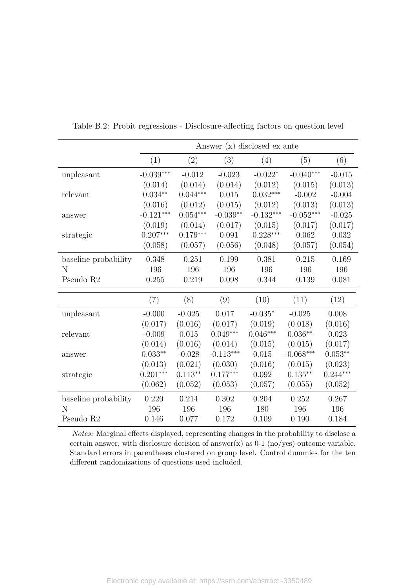<span id="page-47-0"></span>

|                       |             | Answer $(x)$ disclosed ex ante |             |             |             |            |  |  |  |
|-----------------------|-------------|--------------------------------|-------------|-------------|-------------|------------|--|--|--|
|                       | (1)         | (2)                            | (3)         | (4)         | (5)         | (6)        |  |  |  |
| unpleasant            | $-0.039***$ | $-0.012$                       | $-0.023$    | $-0.022*$   | $-0.040***$ | $-0.015$   |  |  |  |
|                       | (0.014)     | (0.014)                        | (0.014)     | (0.012)     | (0.015)     | (0.013)    |  |  |  |
| relevant              | $0.034**$   | $0.044***$                     | 0.015       | $0.032***$  | $-0.002$    | $-0.004$   |  |  |  |
|                       | (0.016)     | (0.012)                        | (0.015)     | (0.012)     | (0.013)     | (0.013)    |  |  |  |
| answer                | $-0.121***$ | $0.054***$                     | $-0.039**$  | $-0.132***$ | $-0.052***$ | $-0.025$   |  |  |  |
|                       | (0.019)     | (0.014)                        | (0.017)     | (0.015)     | (0.017)     | (0.017)    |  |  |  |
| strategic             | $0.207***$  | $0.179***$                     | 0.091       | $0.228***$  | 0.062       | 0.032      |  |  |  |
|                       | (0.058)     | (0.057)                        | (0.056)     | (0.048)     | (0.057)     | (0.054)    |  |  |  |
| baseline probability  | 0.348       | 0.251                          | 0.199       | 0.381       | 0.215       | 0.169      |  |  |  |
| N                     | 196         | 196                            | 196         | 196         | 196         | 196        |  |  |  |
| Pseudo R <sub>2</sub> | 0.255       | 0.219                          | 0.098       | 0.344       | 0.139       | 0.081      |  |  |  |
|                       | (7)         | (8)                            | (9)         | (10)        | (11)        | (12)       |  |  |  |
|                       |             |                                |             |             |             |            |  |  |  |
| unpleasant            | $-0.000$    | $-0.025$                       | 0.017       | $-0.035*$   | $-0.025$    | 0.008      |  |  |  |
|                       | (0.017)     | (0.016)                        | (0.017)     | (0.019)     | (0.018)     | (0.016)    |  |  |  |
| relevant              | $-0.009$    | 0.015                          | $0.049***$  | $0.046***$  | $0.036**$   | 0.023      |  |  |  |
|                       | (0.014)     | (0.016)                        | (0.014)     | (0.015)     | (0.015)     | (0.017)    |  |  |  |
| answer                | $0.033**$   | $-0.028$                       | $-0.113***$ | 0.015       | $-0.068***$ | $0.053**$  |  |  |  |
|                       | (0.013)     | (0.021)                        | (0.030)     | (0.016)     | (0.015)     | (0.023)    |  |  |  |
| strategic             | $0.201***$  | $0.113**$                      | $0.177***$  | 0.092       | $0.135***$  | $0.244***$ |  |  |  |
|                       | (0.062)     | (0.052)                        | (0.053)     | (0.057)     | (0.055)     | (0.052)    |  |  |  |
| baseline probability  | 0.220       | 0.214                          | 0.302       | 0.204       | 0.252       | 0.267      |  |  |  |
| N                     | 196         | 196                            | 196         | 180         | 196         | 196        |  |  |  |
| Pseudo R <sub>2</sub> | 0.146       | 0.077                          | 0.172       | 0.109       | 0.190       | 0.184      |  |  |  |

Table B.2: Probit regressions - Disclosure-affecting factors on question level

*Notes:* Marginal effects displayed, representing changes in the probability to disclose a certain answer, with disclosure decision of answer(x) as  $0-1$  (no/yes) outcome variable. Standard errors in parentheses clustered on group level. Control dummies for the ten different randomizations of questions used included.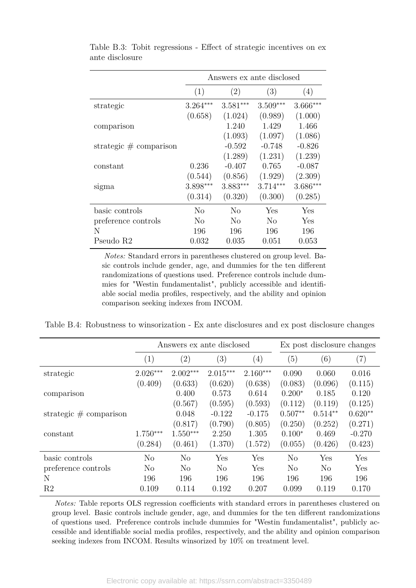|                          | Answers ex ante disclosed |            |            |            |  |  |  |
|--------------------------|---------------------------|------------|------------|------------|--|--|--|
|                          | (1)                       | (2)        | (3)        | (4)        |  |  |  |
| strategic                | $3.264***$                | $3.581***$ | $3.509***$ | 3.666***   |  |  |  |
|                          | (0.658)                   | (1.024)    | (0.989)    | (1.000)    |  |  |  |
| comparison               |                           | 1.240      | 1.429      | 1.466      |  |  |  |
|                          |                           | (1.093)    | (1.097)    | (1.086)    |  |  |  |
| strategic $#$ comparison |                           | $-0.592$   | $-0.748$   | $-0.826$   |  |  |  |
|                          |                           | (1.289)    | (1.231)    | (1.239)    |  |  |  |
| constant                 | 0.236                     | $-0.407$   | 0.765      | $-0.087$   |  |  |  |
|                          | (0.544)                   | (0.856)    | (1.929)    | (2.309)    |  |  |  |
| sigma                    | 3.898***                  | $3.883***$ | $3.714***$ | $3.686***$ |  |  |  |
|                          | (0.314)                   | (0.320)    | (0.300)    | (0.285)    |  |  |  |
| basic controls           | No                        | No         | Yes        | Yes        |  |  |  |
| preference controls      | No                        | No         | No         | Yes        |  |  |  |
| N                        | 196                       | 196        | 196        | 196        |  |  |  |
| Pseudo R2                | 0.032                     | 0.035      | 0.051      | 0.053      |  |  |  |

Table B.3: Tobit regressions - Effect of strategic incentives on ex ante disclosure

*Notes:* Standard errors in parentheses clustered on group level. Basic controls include gender, age, and dummies for the ten different randomizations of questions used. Preference controls include dummies for "Westin fundamentalist", publicly accessible and identifiable social media profiles, respectively, and the ability and opinion comparison seeking indexes from INCOM.

<span id="page-48-0"></span>Table B.4: Robustness to winsorization - Ex ante disclosures and ex post disclosure changes

|                          |                | Answers ex ante disclosed |                   |                   |           | Ex post disclosure changes |           |  |
|--------------------------|----------------|---------------------------|-------------------|-------------------|-----------|----------------------------|-----------|--|
|                          | (1)            | $\left( 2\right)$         | $\left( 3\right)$ | $\left( 4\right)$ | (5)       | $\left( 6\right)$          | (7)       |  |
| strategic                | $2.026***$     | $2.002***$                | $2.015***$        | $2.160***$        | 0.090     | 0.060                      | 0.016     |  |
|                          | (0.409)        | (0.633)                   | (0.620)           | (0.638)           | (0.083)   | (0.096)                    | (0.115)   |  |
| comparison               |                | 0.400                     | 0.573             | 0.614             | $0.200*$  | 0.185                      | 0.120     |  |
|                          |                | (0.567)                   | (0.595)           | (0.593)           | (0.112)   | (0.119)                    | (0.125)   |  |
| strategic $#$ comparison |                | 0.048                     | $-0.122$          | $-0.175$          | $0.507**$ | $0.514**$                  | $0.620**$ |  |
|                          |                | (0.817)                   | (0.790)           | (0.805)           | (0.250)   | (0.252)                    | (0.271)   |  |
| constant                 | $1.750***$     | $1.550***$                | 2.250             | 1.305             | $0.100*$  | 0.469                      | $-0.270$  |  |
|                          | (0.284)        | (0.461)                   | (1.370)           | (1.572)           | (0.055)   | (0.426)                    | (0.423)   |  |
| basic controls           | N <sub>o</sub> | No                        | Yes               | Yes               | $\rm No$  | Yes                        | Yes       |  |
| preference controls      | No             | $\rm No$                  | $\rm No$          | Yes               | $\rm No$  | No                         | Yes       |  |
| N                        | 196            | 196                       | 196               | 196               | 196       | 196                        | 196       |  |
| R <sub>2</sub>           | 0.109          | 0.114                     | 0.192             | 0.207             | 0.099     | 0.119                      | 0.170     |  |

*Notes:* Table reports OLS regression coefficients with standard errors in parentheses clustered on group level. Basic controls include gender, age, and dummies for the ten different randomizations of questions used. Preference controls include dummies for "Westin fundamentalist", publicly accessible and identifiable social media profiles, respectively, and the ability and opinion comparison seeking indexes from INCOM. Results winsorized by 10% on treatment level.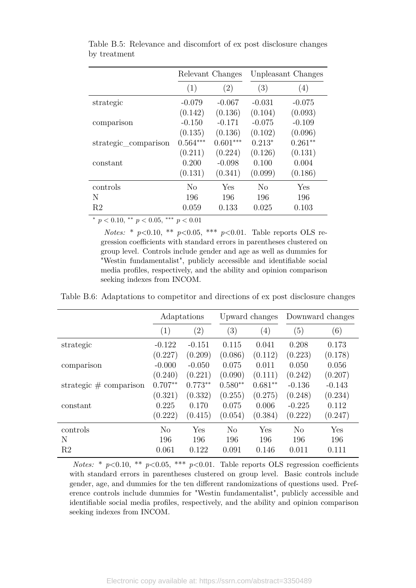|                      |            | Relevant Changes | Unpleasant Changes |           |  |
|----------------------|------------|------------------|--------------------|-----------|--|
|                      | (1)        | (2)              | (3)                | (4)       |  |
| strategic            | $-0.079$   | $-0.067$         | $-0.031$           | $-0.075$  |  |
|                      | (0.142)    | (0.136)          | (0.104)            | (0.093)   |  |
| comparison           | $-0.150$   | $-0.171$         | $-0.075$           | $-0.109$  |  |
|                      | (0.135)    | (0.136)          | (0.102)            | (0.096)   |  |
| strategic comparison | $0.564***$ | $0.601***$       | $0.213*$           | $0.261**$ |  |
|                      | (0.211)    | (0.224)          | (0.126)            | (0.131)   |  |
| constant             | 0.200      | $-0.098$         | 0.100              | 0.004     |  |
|                      | (0.131)    | (0.341)          | (0.099)            | (0.186)   |  |
| controls             | $\rm No$   | Yes              | No                 | Yes       |  |
| N                    | 196        | 196              | 196                | 196       |  |
| R2                   | 0.059      | 0.133            | 0.025              | 0.103     |  |

<span id="page-49-0"></span>Table B.5: Relevance and discomfort of ex post disclosure changes by treatment

<sup>∗</sup> *p <* 0*.*10, ∗∗ *p <* 0*.*05, ∗∗∗ *p <* 0*.*01

*Notes:* \* *p*<0.10, \*\* *p*<0.05, \*\*\* *p*<0.01. Table reports OLS regression coefficients with standard errors in parentheses clustered on group level. Controls include gender and age as well as dummies for "Westin fundamentalist", publicly accessible and identifiable social media profiles, respectively, and the ability and opinion comparison seeking indexes from INCOM.

<span id="page-49-1"></span>Table B.6: Adaptations to competitor and directions of ex post disclosure changes

|                          | Adaptations |                   |                | Upward changes    | Downward changes |          |
|--------------------------|-------------|-------------------|----------------|-------------------|------------------|----------|
|                          | (1)         | $\left( 2\right)$ | (3)            | $\left( 4\right)$ | $\left(5\right)$ | (6)      |
| strategic                | $-0.122$    | $-0.151$          | 0.115          | 0.041             | 0.208            | 0.173    |
|                          | (0.227)     | (0.209)           | (0.086)        | (0.112)           | (0.223)          | (0.178)  |
| comparison               | $-0.000$    | $-0.050$          | 0.075          | 0.011             | 0.050            | 0.056    |
|                          | (0.240)     | (0.221)           | (0.090)        | (0.111)           | (0.242)          | (0.207)  |
| strategic $#$ comparison | $0.707**$   | $0.773**$         | $0.580**$      | $0.681**$         | $-0.136$         | $-0.143$ |
|                          | (0.321)     | (0.332)           | (0.255)        | (0.275)           | (0.248)          | (0.234)  |
| constant                 | 0.225       | 0.170             | 0.075          | 0.006             | $-0.225$         | 0.112    |
|                          | (0.222)     | (0.415)           | (0.054)        | (0.384)           | (0.222)          | (0.247)  |
| controls                 | $\rm No$    | Yes               | N <sub>o</sub> | Yes               | N <sub>o</sub>   | Yes      |
| N                        | 196         | 196               | 196            | 196               | 196              | 196      |
| R <sub>2</sub>           | 0.061       | 0.122             | 0.091          | 0.146             | 0.011            | 0.111    |

*Notes:* \*  $p < 0.10$ , \*\*  $p < 0.05$ , \*\*\*  $p < 0.01$ . Table reports OLS regression coefficients with standard errors in parentheses clustered on group level. Basic controls include gender, age, and dummies for the ten different randomizations of questions used. Preference controls include dummies for "Westin fundamentalist", publicly accessible and identifiable social media profiles, respectively, and the ability and opinion comparison seeking indexes from INCOM.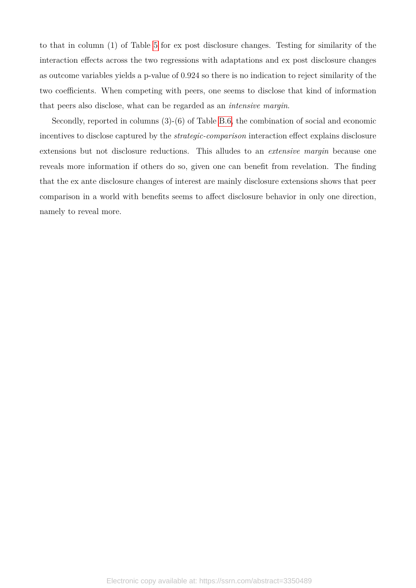to that in column (1) of Table [5](#page-21-0) for ex post disclosure changes. Testing for similarity of the interaction effects across the two regressions with adaptations and ex post disclosure changes as outcome variables yields a p-value of 0.924 so there is no indication to reject similarity of the two coefficients. When competing with peers, one seems to disclose that kind of information that peers also disclose, what can be regarded as an *intensive margin*.

Secondly, reported in columns (3)-(6) of Table [B.6,](#page-49-1) the combination of social and economic incentives to disclose captured by the *strategic-comparison* interaction effect explains disclosure extensions but not disclosure reductions. This alludes to an *extensive margin* because one reveals more information if others do so, given one can benefit from revelation. The finding that the ex ante disclosure changes of interest are mainly disclosure extensions shows that peer comparison in a world with benefits seems to affect disclosure behavior in only one direction, namely to reveal more.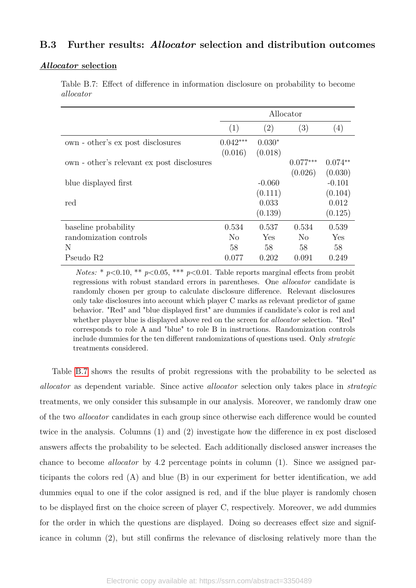### **B.3 Further results:** *Allocator* **selection and distribution outcomes**

### <span id="page-51-0"></span>*Allocator* **selection**

Table B.7: Effect of difference in information disclosure on probability to become *allocator*

|                                                                  | Allocator                        |                             |                                  |                             |
|------------------------------------------------------------------|----------------------------------|-----------------------------|----------------------------------|-----------------------------|
|                                                                  | (1)                              | $\left( 2\right)$           | (3)                              | (4)                         |
| own - other's expost disclosures                                 | $0.042***$<br>(0.016)            | $0.030*$<br>(0.018)         |                                  |                             |
| own - other's relevant ex post disclosures                       |                                  |                             | $0.077***$<br>(0.026)            | $0.074**$<br>(0.030)        |
| blue displayed first                                             |                                  | $-0.060$<br>(0.111)         |                                  | $-0.101$<br>(0.104)         |
| red                                                              |                                  | 0.033<br>(0.139)            |                                  | 0.012<br>(0.125)            |
| baseline probability<br>randomization controls<br>N<br>Pseudo R2 | 0.534<br>$\rm No$<br>58<br>0.077 | 0.537<br>Yes<br>58<br>0.202 | 0.534<br>$\rm No$<br>58<br>0.091 | 0.539<br>Yes<br>58<br>0.249 |

*Notes:* \*  $p < 0.10$ , \*\*  $p < 0.05$ , \*\*\*  $p < 0.01$ . Table reports marginal effects from probit regressions with robust standard errors in parentheses. One *allocator* candidate is randomly chosen per group to calculate disclosure difference. Relevant disclosures only take disclosures into account which player C marks as relevant predictor of game behavior. "Red" and "blue displayed first" are dummies if candidate's color is red and whether player blue is displayed above red on the screen for *allocator* selection. "Red" corresponds to role A and "blue" to role B in instructions. Randomization controls include dummies for the ten different randomizations of questions used. Only *strategic* treatments considered.

Table [B.7](#page-51-0) shows the results of probit regressions with the probability to be selected as *allocator* as dependent variable. Since active *allocator* selection only takes place in *strategic* treatments, we only consider this subsample in our analysis. Moreover, we randomly draw one of the two *allocator* candidates in each group since otherwise each difference would be counted twice in the analysis. Columns (1) and (2) investigate how the difference in ex post disclosed answers affects the probability to be selected. Each additionally disclosed answer increases the chance to become *allocator* by 4.2 percentage points in column (1). Since we assigned participants the colors red (A) and blue (B) in our experiment for better identification, we add dummies equal to one if the color assigned is red, and if the blue player is randomly chosen to be displayed first on the choice screen of player C, respectively. Moreover, we add dummies for the order in which the questions are displayed. Doing so decreases effect size and significance in column (2), but still confirms the relevance of disclosing relatively more than the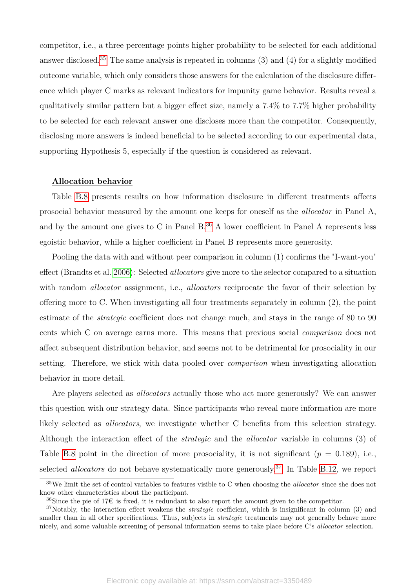competitor, i.e., a three percentage points higher probability to be selected for each additional answer disclosed.<sup>[35](#page-52-0)</sup> The same analysis is repeated in columns  $(3)$  and  $(4)$  for a slightly modified outcome variable, which only considers those answers for the calculation of the disclosure difference which player C marks as relevant indicators for impunity game behavior. Results reveal a qualitatively similar pattern but a bigger effect size, namely a 7.4% to 7.7% higher probability to be selected for each relevant answer one discloses more than the competitor. Consequently, disclosing more answers is indeed beneficial to be selected according to our experimental data, supporting Hypothesis 5, especially if the question is considered as relevant.

### **Allocation behavior**

Table [B.8](#page-53-0) presents results on how information disclosure in different treatments affects prosocial behavior measured by the amount one keeps for oneself as the *allocator* in Panel A, and by the amount one gives to C in Panel  $B^{36}$  $B^{36}$  $B^{36}$  A lower coefficient in Panel A represents less egoistic behavior, while a higher coefficient in Panel B represents more generosity.

Pooling the data with and without peer comparison in column (1) confirms the "I-want-you" effect (Brandts et al. [2006\)](#page-36-3): Selected *allocators* give more to the selector compared to a situation with random *allocator* assignment, i.e., *allocators* reciprocate the favor of their selection by offering more to C. When investigating all four treatments separately in column (2), the point estimate of the *strategic* coefficient does not change much, and stays in the range of 80 to 90 cents which C on average earns more. This means that previous social *comparison* does not affect subsequent distribution behavior, and seems not to be detrimental for prosociality in our setting. Therefore, we stick with data pooled over *comparison* when investigating allocation behavior in more detail.

Are players selected as *allocators* actually those who act more generously? We can answer this question with our strategy data. Since participants who reveal more information are more likely selected as *allocators*, we investigate whether C benefits from this selection strategy. Although the interaction effect of the *strategic* and the *allocator* variable in columns (3) of Table [B.8](#page-53-0) point in the direction of more prosociality, it is not significant ( $p = 0.189$ ), i.e., selected *allocators* do not behave systematically more generously.<sup>[37](#page-52-2)</sup> In Table [B.12,](#page-58-0) we report

<span id="page-52-0"></span><sup>35</sup>We limit the set of control variables to features visible to C when choosing the *allocator* since she does not know other characteristics about the participant.

<span id="page-52-2"></span><span id="page-52-1"></span><sup>&</sup>lt;sup>36</sup>Since the pie of 17€ is fixed, it is redundant to also report the amount given to the competitor.

<sup>37</sup>Notably, the interaction effect weakens the *strategic* coefficient, which is insignificant in column (3) and smaller than in all other specifications. Thus, subjects in *strategic* treatments may not generally behave more nicely, and some valuable screening of personal information seems to take place before C's *allocator* selection.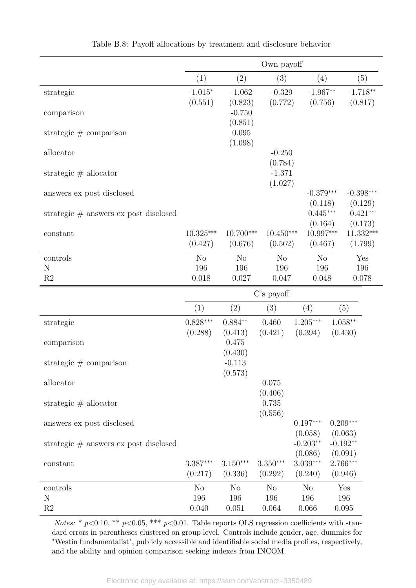<span id="page-53-0"></span>

|                                          | Own payoff            |                       |                       |                        |  |                        |
|------------------------------------------|-----------------------|-----------------------|-----------------------|------------------------|--|------------------------|
|                                          | (1)                   | (2)                   | (3)                   | (4)                    |  | (5)                    |
| strategic                                | $-1.015*$             | $-1.062$              | $-0.329$              | $-1.967**$             |  | $-1.718**$             |
|                                          | (0.551)               | (0.823)               | (0.772)               | (0.756)                |  | (0.817)                |
| comparison                               |                       | $-0.750$<br>(0.851)   |                       |                        |  |                        |
| strategic $#$ comparison                 |                       | 0.095                 |                       |                        |  |                        |
|                                          |                       | (1.098)               |                       |                        |  |                        |
| allocator                                |                       |                       | $-0.250$              |                        |  |                        |
| strategic $#$ allocator                  |                       |                       | (0.784)<br>$-1.371$   |                        |  |                        |
|                                          |                       |                       | (1.027)               |                        |  |                        |
| answers ex post disclosed                |                       |                       |                       | $-0.379***$            |  | $-0.398***$            |
|                                          |                       |                       |                       | (0.118)                |  | (0.129)                |
| strategic $#$ answers ex post disclosed  |                       |                       |                       | $0.445***$             |  | $0.421**$              |
| constant                                 | $10.325***$           | $10.700***$           | $10.450***$           | (0.164)<br>$10.997***$ |  | (0.173)<br>$11.332***$ |
|                                          | (0.427)               | (0.676)               | (0.562)               | (0.467)                |  | (1.799)                |
| controls                                 | N <sub>o</sub>        | N <sub>o</sub>        | N <sub>o</sub>        | N <sub>o</sub>         |  | Yes                    |
| $\mathbf N$                              | 196                   | 196                   | 196                   | 196                    |  | 196                    |
| R2                                       | 0.018                 | 0.027                 | 0.047                 | 0.048                  |  | 0.078                  |
|                                          | C's payoff            |                       |                       |                        |  |                        |
|                                          | (1)                   | (2)                   | (3)                   | (4)                    |  | (5)                    |
| strategic                                | $0.828***$            | $0.884**$             | 0.460                 | $1.205^{***}\,$        |  | $1.058^{\ast\ast}$     |
|                                          | (0.288)               | (0.413)               | (0.421)               | (0.394)                |  | (0.430)                |
| comparison                               |                       | 0.475<br>(0.430)      |                       |                        |  |                        |
| strategic $#$ comparison                 |                       | $-0.113$              |                       |                        |  |                        |
|                                          |                       | (0.573)               |                       |                        |  |                        |
| allocator                                |                       |                       | 0.075                 |                        |  |                        |
|                                          |                       |                       | (0.406)               |                        |  |                        |
| strategic $#$ allocator                  |                       |                       | 0.735<br>(0.556)      |                        |  |                        |
| answers ex post disclosed                |                       |                       |                       | $0.197***$             |  | $0.209***$             |
|                                          |                       |                       |                       | (0.058)                |  | (0.063)                |
| strategic $\#$ answers ex post disclosed |                       |                       |                       | $-0.203**$             |  | $-0.192**$             |
|                                          |                       |                       |                       | (0.086)<br>$3.039***$  |  | (0.091)<br>$2.766***$  |
| constant                                 | $3.387***$<br>(0.217) | $3.150***$<br>(0.336) | $3.350***$<br>(0.292) | (0.240)                |  | (0.946)                |
| controls                                 | N <sub>o</sub>        | N <sub>o</sub>        | N <sub>o</sub>        | N <sub>o</sub>         |  | Yes                    |
| $\mathbf N$                              | 196                   | 196                   | 196                   | 196                    |  | 196                    |
| R <sub>2</sub>                           | 0.040                 | 0.051                 | 0.064                 | 0.066                  |  | 0.095                  |

Table B.8: Payoff allocations by treatment and disclosure behavior

*Notes:* \* *p*<0.10, \*\* *p*<0.05, \*\*\* *p*<0.01. Table reports OLS regression coefficients with standard errors in parentheses clustered on group level. Controls include gender, age, dummies for "Westin fundamentalist", publicly accessible and identifiable social media profiles, respectively, and the ability and opinion comparison seeking indexes from INCOM.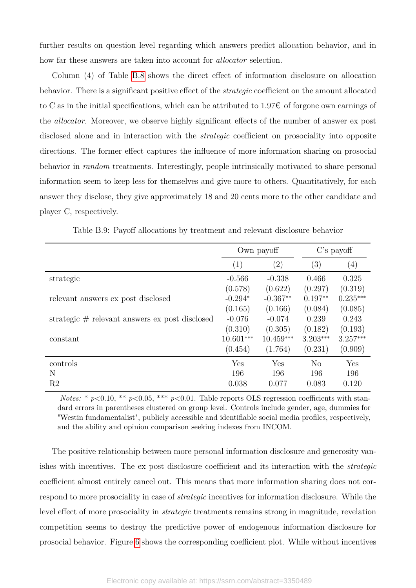further results on question level regarding which answers predict allocation behavior, and in how far these answers are taken into account for *allocator* selection.

Column (4) of Table [B.8](#page-53-0) shows the direct effect of information disclosure on allocation behavior. There is a significant positive effect of the *strategic* coefficient on the amount allocated to C as in the initial specifications, which can be attributed to 1.97 $\epsilon$  of forgone own earnings of the *allocator*. Moreover, we observe highly significant effects of the number of answer ex post disclosed alone and in interaction with the *strategic* coefficient on prosociality into opposite directions. The former effect captures the influence of more information sharing on prosocial behavior in *random* treatments. Interestingly, people intrinsically motivated to share personal information seem to keep less for themselves and give more to others. Quantitatively, for each answer they disclose, they give approximately 18 and 20 cents more to the other candidate and player C, respectively.

<span id="page-54-0"></span>

|                                                  | Own payoff  |                   | C's payoff     |                  |
|--------------------------------------------------|-------------|-------------------|----------------|------------------|
|                                                  | (1)         | $\left( 2\right)$ | (3)            | $\left(4\right)$ |
| strategic                                        | $-0.566$    | $-0.338$          | 0.466          | 0.325            |
|                                                  | (0.578)     | (0.622)           | (0.297)        | (0.319)          |
| relevant answers ex post disclosed               | $-0.294*$   | $-0.367**$        | $0.197**$      | $0.235***$       |
|                                                  | (0.165)     | (0.166)           | (0.084)        | (0.085)          |
| strategic $#$ relevant answers ex post disclosed | $-0.076$    | $-0.074$          | 0.239          | 0.243            |
|                                                  | (0.310)     | (0.305)           | (0.182)        | (0.193)          |
| constant                                         | $10.601***$ | $10.459***$       | $3.203***$     | $3.257***$       |
|                                                  | (0.454)     | (1.764)           | (0.231)        | (0.909)          |
| controls                                         | Yes         | Yes               | N <sub>o</sub> | Yes              |
| N                                                | 196         | 196               | 196            | 196              |
| R2                                               | 0.038       | 0.077             | 0.083          | 0.120            |
|                                                  |             |                   |                |                  |

Table B.9: Payoff allocations by treatment and relevant disclosure behavior

*Notes:* \*  $p < 0.10$ , \*\*  $p < 0.05$ , \*\*\*  $p < 0.01$ . Table reports OLS regression coefficients with standard errors in parentheses clustered on group level. Controls include gender, age, dummies for "Westin fundamentalist", publicly accessible and identifiable social media profiles, respectively, and the ability and opinion comparison seeking indexes from INCOM.

The positive relationship between more personal information disclosure and generosity vanishes with incentives. The ex post disclosure coefficient and its interaction with the *strategic* coefficient almost entirely cancel out. This means that more information sharing does not correspond to more prosociality in case of *strategic* incentives for information disclosure. While the level effect of more prosociality in *strategic* treatments remains strong in magnitude, revelation competition seems to destroy the predictive power of endogenous information disclosure for prosocial behavior. Figure [6](#page-28-1) shows the corresponding coefficient plot. While without incentives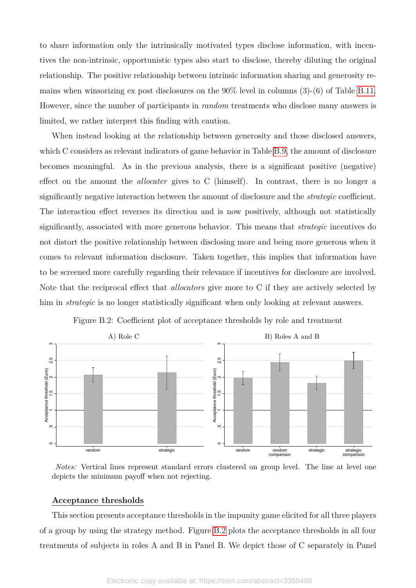to share information only the intrinsically motivated types disclose information, with incentives the non-intrinsic, opportunistic types also start to disclose, thereby diluting the original relationship. The positive relationship between intrinsic information sharing and generosity remains when winsorizing ex post disclosures on the  $90\%$  level in columns  $(3)-(6)$  of Table [B.11.](#page-57-0) However, since the number of participants in *random* treatments who disclose many answers is limited, we rather interpret this finding with caution.

When instead looking at the relationship between generosity and those disclosed answers, which C considers as relevant indicators of game behavior in Table [B.9,](#page-54-0) the amount of disclosure becomes meaningful. As in the previous analysis, there is a significant positive (negative) effect on the amount the *allocater* gives to C (himself). In contrast, there is no longer a significantly negative interaction between the amount of disclosure and the *strategic* coefficient. The interaction effect reverses its direction and is now positively, although not statistically significantly, associated with more generous behavior. This means that *strategic* incentives do not distort the positive relationship between disclosing more and being more generous when it comes to relevant information disclosure. Taken together, this implies that information have to be screened more carefully regarding their relevance if incentives for disclosure are involved. Note that the reciprocal effect that *allocators* give more to C if they are actively selected by him in *strategic* is no longer statistically significant when only looking at relevant answers.

<span id="page-55-0"></span>



*Notes:* Vertical lines represent standard errors clustered on group level. The line at level one depicts the minimum payoff when not rejecting.

#### **Acceptance thresholds**

This section presents acceptance thresholds in the impunity game elicited for all three players of a group by using the strategy method. Figure [B.2](#page-55-0) plots the acceptance thresholds in all four treatments of subjects in roles A and B in Panel B. We depict those of C separately in Panel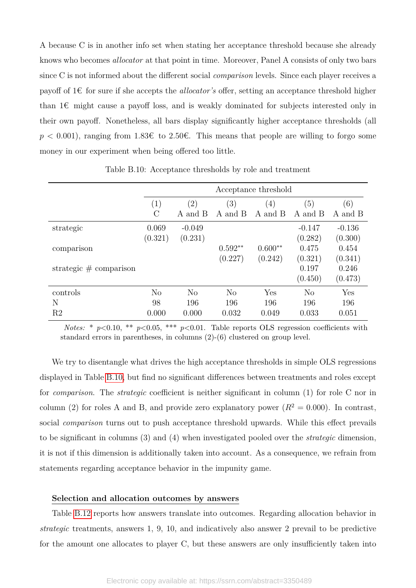A because C is in another info set when stating her acceptance threshold because she already knows who becomes *allocator* at that point in time. Moreover, Panel A consists of only two bars since C is not informed about the different social *comparison* levels. Since each player receives a payoff of 1€ for sure if she accepts the *allocator's* offer, setting an acceptance threshold higher than  $1 \in \mathbb{R}$  might cause a payoff loss, and is weakly dominated for subjects interested only in their own payoff. Nonetheless, all bars display significantly higher acceptance thresholds (all  $p < 0.001$ , ranging from 1.83€ to 2.50€. This means that people are willing to forgo some money in our experiment when being offered too little.

<span id="page-56-0"></span>

|                          | Acceptance threshold |                   |           |                   |          |          |  |
|--------------------------|----------------------|-------------------|-----------|-------------------|----------|----------|--|
|                          | (1)                  | $\left( 2\right)$ | (3)       | $\left( 4\right)$ | (5)      | (6)      |  |
|                          | $\mathcal{C}$        | A and B           | A and B   | A and B           | A and B  | A and B  |  |
| strategic                | 0.069                | $-0.049$          |           |                   | $-0.147$ | $-0.136$ |  |
|                          | (0.321)              | (0.231)           |           |                   | (0.282)  | (0.300)  |  |
| comparison               |                      |                   | $0.592**$ | $0.600**$         | 0.475    | 0.454    |  |
|                          |                      |                   | (0.227)   | (0.242)           | (0.321)  | (0.341)  |  |
| strategic $#$ comparison |                      |                   |           |                   | 0.197    | 0.246    |  |
|                          |                      |                   |           |                   | (0.450)  | (0.473)  |  |
| controls                 | No                   | $\rm No$          | $\rm No$  | Yes               | No       | Yes      |  |
| N                        | 98                   | 196               | 196       | 196               | 196      | 196      |  |
| R2                       | 0.000                | 0.000             | 0.032     | 0.049             | 0.033    | 0.051    |  |

Table B.10: Acceptance thresholds by role and treatment

*Notes:* \*  $p<0.10$ , \*\*  $p<0.05$ , \*\*\*  $p<0.01$ . Table reports OLS regression coefficients with standard errors in parentheses, in columns (2)-(6) clustered on group level.

We try to disentangle what drives the high acceptance thresholds in simple OLS regressions displayed in Table [B.10,](#page-56-0) but find no significant differences between treatments and roles except for *comparison*. The *strategic* coefficient is neither significant in column (1) for role C nor in column (2) for roles A and B, and provide zero explanatory power  $(R^2 = 0.000)$ . In contrast, social *comparison* turns out to push acceptance threshold upwards. While this effect prevails to be significant in columns (3) and (4) when investigated pooled over the *strategic* dimension, it is not if this dimension is additionally taken into account. As a consequence, we refrain from statements regarding acceptance behavior in the impunity game.

#### **Selection and allocation outcomes by answers**

Table [B.12](#page-58-0) reports how answers translate into outcomes. Regarding allocation behavior in *strategic* treatments, answers 1, 9, 10, and indicatively also answer 2 prevail to be predictive for the amount one allocates to player C, but these answers are only insufficiently taken into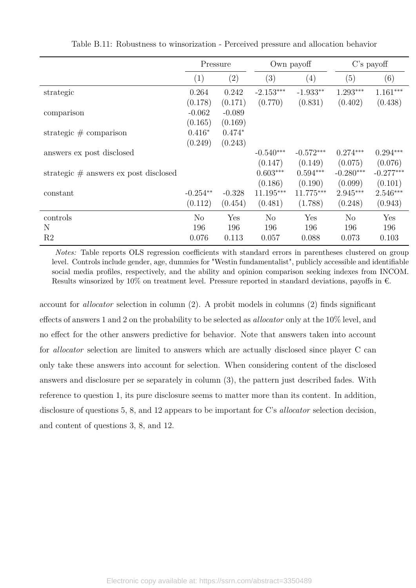<span id="page-57-0"></span>

|                                         | Pressure          |          | Own payoff  |             |                | C's payoff  |
|-----------------------------------------|-------------------|----------|-------------|-------------|----------------|-------------|
|                                         | $\left( 1\right)$ | (2)      | (3)         | (4)         | (5)            | (6)         |
| strategic                               | 0.264             | 0.242    | $-2.153***$ | $-1.933**$  | $1.293***$     | $1.161***$  |
|                                         | (0.178)           | (0.171)  | (0.770)     | (0.831)     | (0.402)        | (0.438)     |
| comparison                              | $-0.062$          | $-0.089$ |             |             |                |             |
|                                         | (0.165)           | (0.169)  |             |             |                |             |
| strategic $#$ comparison                | $0.416*$          | $0.474*$ |             |             |                |             |
|                                         | (0.249)           | (0.243)  |             |             |                |             |
| answers ex post disclosed               |                   |          | $-0.540***$ | $-0.572***$ | $0.274***$     | $0.294***$  |
|                                         |                   |          | (0.147)     | (0.149)     | (0.075)        | (0.076)     |
| strategic $#$ answers ex post disclosed |                   |          | $0.603***$  | $0.594***$  | $-0.280***$    | $-0.277***$ |
|                                         |                   |          | (0.186)     | (0.190)     | (0.099)        | (0.101)     |
| constant                                | $-0.254**$        | $-0.328$ | $11.195***$ | $11.775***$ | $2.945***$     | $2.546***$  |
|                                         | (0.112)           | (0.454)  | (0.481)     | (1.788)     | (0.248)        | (0.943)     |
| controls                                | $\rm No$          | Yes      | No          | Yes         | N <sub>o</sub> | Yes         |
| N                                       | 196               | 196      | 196         | 196         | 196            | 196         |
| R <sub>2</sub>                          | 0.076             | 0.113    | 0.057       | 0.088       | 0.073          | 0.103       |

Table B.11: Robustness to winsorization - Perceived pressure and allocation behavior

*Notes:* Table reports OLS regression coefficients with standard errors in parentheses clustered on group level. Controls include gender, age, dummies for "Westin fundamentalist", publicly accessible and identifiable social media profiles, respectively, and the ability and opinion comparison seeking indexes from INCOM. Results winsorized by 10% on treatment level. Pressure reported in standard deviations, payoffs in  $\epsilon$ .

account for *allocator* selection in column (2). A probit models in columns (2) finds significant effects of answers 1 and 2 on the probability to be selected as *allocator* only at the 10% level, and no effect for the other answers predictive for behavior. Note that answers taken into account for *allocator* selection are limited to answers which are actually disclosed since player C can only take these answers into account for selection. When considering content of the disclosed answers and disclosure per se separately in column (3), the pattern just described fades. With reference to question 1, its pure disclosure seems to matter more than its content. In addition, disclosure of questions 5, 8, and 12 appears to be important for C's *allocator* selection decision, and content of questions 3, 8, and 12.